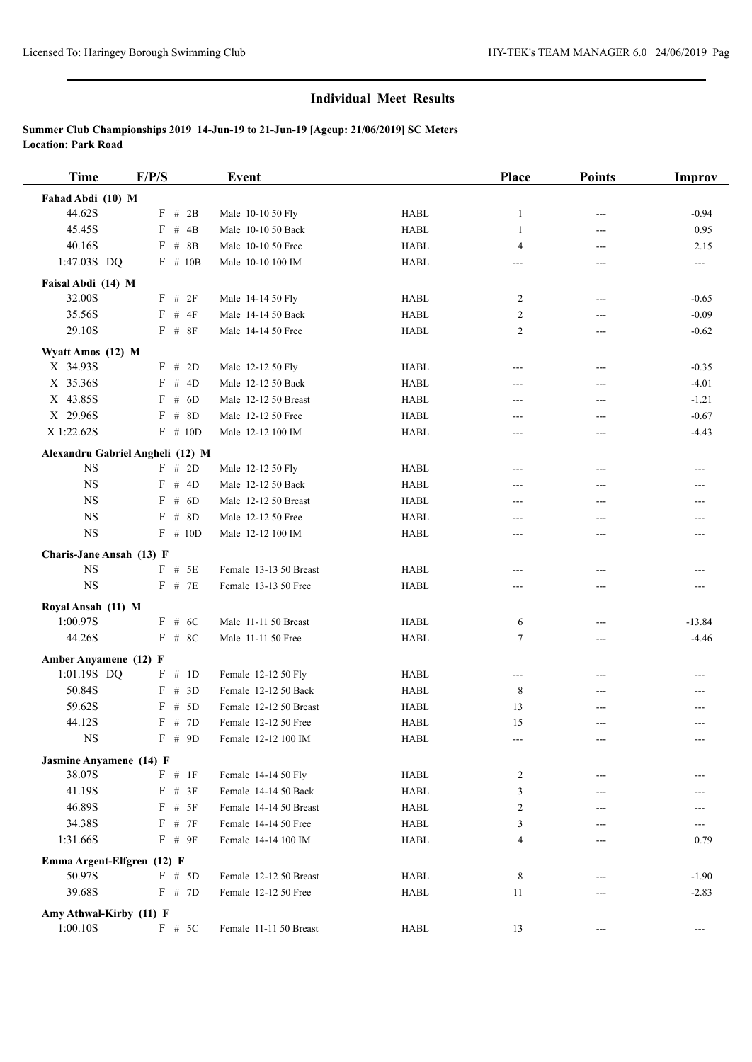| <b>Time</b>                      | F/P/S                      | Event                  |                                | Place          | <b>Points</b> | <b>Improv</b>           |
|----------------------------------|----------------------------|------------------------|--------------------------------|----------------|---------------|-------------------------|
| Fahad Abdi (10) M                |                            |                        |                                |                |               |                         |
| 44.62S                           | $F$ # 2B                   | Male 10-10 50 Fly      | <b>HABL</b>                    | $\mathbf{1}$   | ---           | $-0.94$                 |
| 45.45S                           | # $4B$<br>F                | Male 10-10 50 Back     | <b>HABL</b>                    | $\mathbf{1}$   | $---$         | 0.95                    |
| 40.16S                           | $F$ # 8B                   | Male 10-10 50 Free     | <b>HABL</b>                    | $\overline{4}$ | $---$         | 2.15                    |
| 1:47.03S DQ                      | $F$ # 10B                  | Male 10-10 100 IM      | <b>HABL</b>                    | ---            | ---           | $\qquad \qquad -\qquad$ |
| Faisal Abdi (14) M               |                            |                        |                                |                |               |                         |
| 32.00S                           | $F$ # 2F                   | Male 14-14 50 Fly      | <b>HABL</b>                    | $\overline{c}$ | ---           | $-0.65$                 |
| 35.56S                           | $F$ # 4F                   | Male 14-14 50 Back     | <b>HABL</b>                    | $\overline{c}$ | ---           | $-0.09$                 |
| 29.10S                           | $F$ # 8F                   | Male 14-14 50 Free     | <b>HABL</b>                    | 2              | ---           | $-0.62$                 |
| Wyatt Amos (12) M                |                            |                        |                                |                |               |                         |
| X 34.93S                         | F # 2D                     | Male 12-12 50 Fly      | <b>HABL</b>                    | ---            | $---$         | $-0.35$                 |
| X 35.36S                         | F # 4D                     | Male 12-12 50 Back     | <b>HABL</b>                    | ---            | ---           | $-4.01$                 |
| X 43.85S                         | F # 6D                     | Male 12-12 50 Breast   | <b>HABL</b>                    | ---            | ---           | $-1.21$                 |
| X 29.96S                         | F<br># 8D                  | Male 12-12 50 Free     | <b>HABL</b>                    | ---            | ---           | $-0.67$                 |
| X 1:22.62S                       | $F \# 10D$                 | Male 12-12 100 IM      | <b>HABL</b>                    | ---            | ---           | $-4.43$                 |
| Alexandru Gabriel Angheli (12) M |                            |                        |                                |                |               |                         |
| $_{\rm NS}$                      | F # 2D                     | Male 12-12 50 Fly      | <b>HABL</b>                    | ---            | ---           | $---$                   |
| $_{\rm NS}$                      | F # 4D                     | Male 12-12 50 Back     | <b>HABL</b>                    | ---            | ---           | ---                     |
| <b>NS</b>                        | $F$ # 6D                   | Male 12-12 50 Breast   | <b>HABL</b>                    | ---            | ---           | ---                     |
| $_{\rm NS}$                      | # $8D$<br>F                | Male 12-12 50 Free     | ${\rm H}{\bf A}{\bf B}{\bf L}$ | ---            | ---           | ---                     |
| $_{\rm NS}$                      | $F \# 10D$                 | Male 12-12 100 IM      | <b>HABL</b>                    | ---            | ---           | ---                     |
| Charis-Jane Ansah (13) F         |                            |                        |                                |                |               |                         |
| <b>NS</b>                        | $F$ # $5E$                 | Female 13-13 50 Breast | <b>HABL</b>                    | ---            | ---           | ---                     |
| $_{\rm NS}$                      | $F$ # 7E                   | Female 13-13 50 Free   | <b>HABL</b>                    | ---            | ---           | $---$                   |
| Royal Ansah (11) M               |                            |                        |                                |                |               |                         |
| 1:00.97S                         | $F$ # 6C                   | Male 11-11 50 Breast   | <b>HABL</b>                    | 6              | ---           | $-13.84$                |
| 44.26S                           | $F$ # 8C                   | Male 11-11 50 Free     | <b>HABL</b>                    | $\tau$         | ---           | $-4.46$                 |
| Amber Anyamene (12) F            |                            |                        |                                |                |               |                         |
| 1:01.19S DQ                      | F # 1D                     | Female 12-12 50 Fly    | <b>HABL</b>                    | ---            | ---           | $---$                   |
| 50.84S                           | # $3D$<br>$\boldsymbol{F}$ | Female 12-12 50 Back   | <b>HABL</b>                    | $\,8\,$        | ---           |                         |
| 59.62S                           | $\#$<br>F<br>5D            | Female 12-12 50 Breast | ${\rm H}{\bf A}{\bf B}{\bf L}$ | 13             | ---           |                         |
| 44.12S                           | F # 7D                     | Female 12-12 50 Free   | <b>HABL</b>                    | 15             | $---$         | $---$                   |
| <b>NS</b>                        | $F$ # 9D                   | Female 12-12 100 IM    | ${\rm H}{\bf A}{\bf B}{\bf L}$ | ---            | ---           |                         |
| Jasmine Anyamene (14) F          |                            |                        |                                |                |               |                         |
| 38.07S                           | F # 1F                     | Female 14-14 50 Fly    | <b>HABL</b>                    | 2              | ---           |                         |
| 41.19S                           | $F$ # 3F                   | Female 14-14 50 Back   | <b>HABL</b>                    | 3              | ---           |                         |
| 46.89S                           | $F$ # 5F                   | Female 14-14 50 Breast | <b>HABL</b>                    | 2              |               |                         |
| 34.38S                           | F<br># 7F                  | Female 14-14 50 Free   | <b>HABL</b>                    | 3              | ---           | ---                     |
| 1:31.66S                         | $F$ # 9F                   | Female 14-14 100 IM    | <b>HABL</b>                    | 4              | ---           | 0.79                    |
| Emma Argent-Elfgren (12) F       |                            |                        |                                |                |               |                         |
| 50.97S                           | $F \# 5D$                  | Female 12-12 50 Breast | <b>HABL</b>                    | 8              |               | $-1.90$                 |
| 39.68S                           | F # 7D                     | Female 12-12 50 Free   | <b>HABL</b>                    | 11             | ---           | $-2.83$                 |
| Amy Athwal-Kirby (11) F          |                            |                        |                                |                |               |                         |
| 1:00.10S                         | F # 5C                     | Female 11-11 50 Breast | HABL                           | 13             |               | ---                     |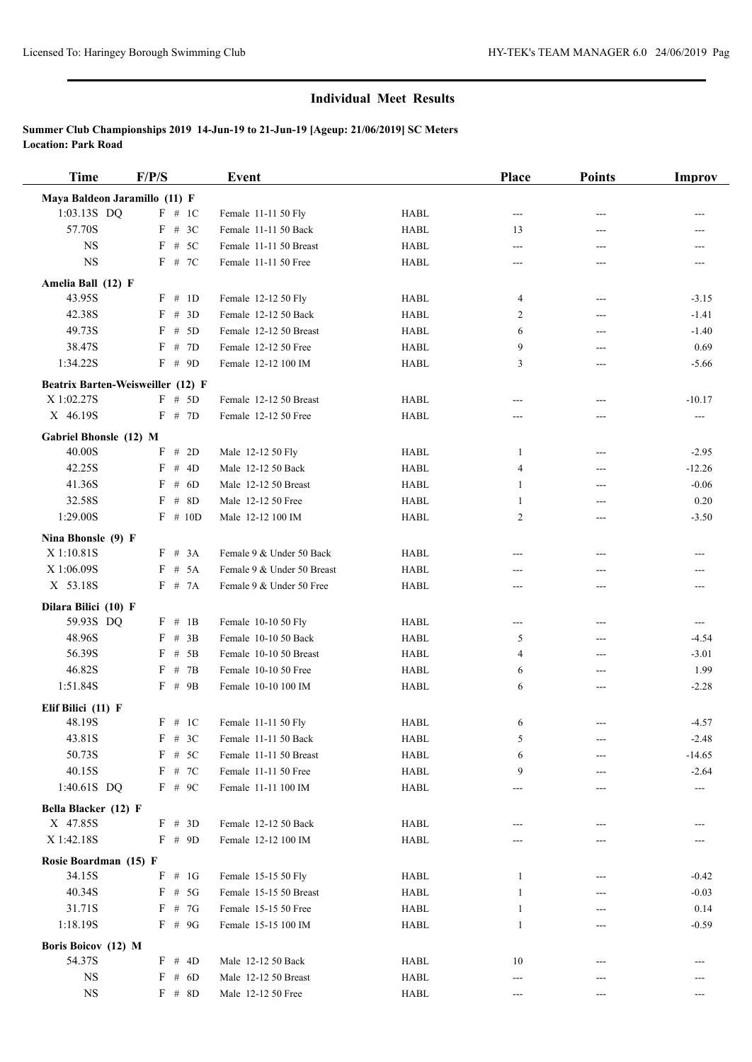| <b>Time</b>                       | F/P/S              | <b>Event</b>               |             | Place        | <b>Points</b> | <b>Improv</b> |
|-----------------------------------|--------------------|----------------------------|-------------|--------------|---------------|---------------|
| Maya Baldeon Jaramillo (11) F     |                    |                            |             |              |               |               |
| 1:03.13S DQ                       | F # 1C             | Female 11-11 50 Fly        | <b>HABL</b> | $---$        | ---           | ---           |
| 57.70S                            | F # 3C             | Female 11-11 50 Back       | <b>HABL</b> | 13           | ---           |               |
| <b>NS</b>                         | $F$ # 5C           | Female 11-11 50 Breast     | <b>HABL</b> | ---          | ---           |               |
| <b>NS</b>                         | F # 7C             | Female 11-11 50 Free       | <b>HABL</b> | ---          | ---           |               |
| Amelia Ball (12) F                |                    |                            |             |              |               |               |
| 43.95S                            | $F \# 1D$          | Female 12-12 50 Fly        | <b>HABL</b> | 4            | ---           | $-3.15$       |
| 42.38S                            | $_{\rm F}$<br># 3D | Female 12-12 50 Back       | <b>HABL</b> | 2            | ---           | $-1.41$       |
| 49.73S                            | # $5D$<br>F        | Female 12-12 50 Breast     | <b>HABL</b> | 6            | ---           | $-1.40$       |
| 38.47S                            | F<br># 7D          | Female 12-12 50 Free       | <b>HABL</b> | 9            | ---           | 0.69          |
| 1:34.22S                          | $F$ # 9D           | Female 12-12 100 IM        | <b>HABL</b> | 3            | ---           | $-5.66$       |
| Beatrix Barten-Weisweiller (12) F |                    |                            |             |              |               |               |
| X 1:02.27S                        | F # 5D             | Female 12-12 50 Breast     | <b>HABL</b> | ---          | ---           | $-10.17$      |
| X 46.19S                          | F # 7D             | Female 12-12 50 Free       | <b>HABL</b> | ---          | ---           | ---           |
| Gabriel Bhonsle (12) M            |                    |                            |             |              |               |               |
| 40.00S                            | F # 2D             | Male 12-12 50 Fly          | <b>HABL</b> | 1            | ---           | $-2.95$       |
| 42.25S                            | F<br># $4D$        | Male 12-12 50 Back         | <b>HABL</b> | 4            | ---           | $-12.26$      |
| 41.36S                            | F<br># $6D$        | Male 12-12 50 Breast       | <b>HABL</b> | $\mathbf{1}$ | ---           | $-0.06$       |
| 32.58S                            | F<br># $8D$        | Male 12-12 50 Free         | <b>HABL</b> | 1            | ---           | 0.20          |
| 1:29.00S                          | $F$ # 10D          | Male 12-12 100 IM          | <b>HABL</b> | 2            | ---           | $-3.50$       |
| Nina Bhonsle (9) F                |                    |                            |             |              |               |               |
| X 1:10.81S                        | F # 3A             | Female 9 & Under 50 Back   | <b>HABL</b> | $---$        | ---           | ---           |
| X 1:06.09S                        | # 5A<br>F          | Female 9 & Under 50 Breast | <b>HABL</b> | $---$        | ---           | ---           |
| X 53.18S                          | F # 7A             | Female 9 & Under 50 Free   | <b>HABL</b> | $---$        | ---           | ---           |
| Dilara Bilici (10) F              |                    |                            |             |              |               |               |
| 59.93S DQ                         | F # 1B             | Female 10-10 50 Fly        | <b>HABL</b> | ---          | ---           | $---$         |
| 48.96S                            | F<br>$#$ 3B        | Female 10-10 50 Back       | <b>HABL</b> | 5            | ---           | $-4.54$       |
| 56.39S                            | F<br>$#$ 5B        | Female 10-10 50 Breast     | <b>HABL</b> | 4            | $---$         | $-3.01$       |
| 46.82S                            | F<br># $7B$        | Female 10-10 50 Free       | <b>HABL</b> | 6            | ---           | 1.99          |
| 1:51.84S                          | $F$ # 9B           | Female 10-10 100 IM        | <b>HABL</b> | 6            | ---           | $-2.28$       |
| Elif Bilici (11) F                |                    |                            |             |              |               |               |
| 48.19S                            | $F \# 1C$          | Female 11-11 50 Fly        | <b>HABL</b> | 6            | ---           | $-4.57$       |
| 43.81S                            | F # 3C             | Female 11-11 50 Back       | HABL        | 5            | ---           | $-2.48$       |
| 50.73S                            | F # 5C             | Female 11-11 50 Breast     | <b>HABL</b> | 6            | ---           | $-14.65$      |
| 40.15S                            | F<br># 7C          | Female 11-11 50 Free       | HABL        | 9            |               | $-2.64$       |
| 1:40.61S DQ                       | $F$ # 9C           | Female 11-11 100 IM        | HABL        | ---          |               | ---           |
| Bella Blacker (12) F              |                    |                            |             |              |               |               |
| X 47.85S                          | $F \# 3D$          | Female 12-12 50 Back       | HABL        |              |               |               |
| X 1:42.18S                        | $F \# 9D$          | Female 12-12 100 IM        | <b>HABL</b> |              |               |               |
| Rosie Boardman (15) F             |                    |                            |             |              |               |               |
| 34.15S                            | $F \# 1G$          | Female 15-15 50 Fly        | HABL        | 1            |               | $-0.42$       |
| 40.34S                            | F<br># 5G          | Female 15-15 50 Breast     | <b>HABL</b> | 1            |               | $-0.03$       |
| 31.71S                            | F<br># 7G          | Female 15-15 50 Free       | HABL        | 1            |               | 0.14          |
| 1:18.19S                          | $F \# 9G$          | Female 15-15 100 IM        | <b>HABL</b> | 1            |               | $-0.59$       |
| Boris Boicov (12) M               |                    |                            |             |              |               |               |
| 54.37S                            | $F \# 4D$          | Male 12-12 50 Back         | HABL        | 10           |               |               |
| $_{\rm NS}$                       | $F \# 6D$          | Male 12-12 50 Breast       | HABL        | ---          |               |               |
| <b>NS</b>                         | $F \# 8D$          | Male 12-12 50 Free         | HABL        | ---          |               | ---           |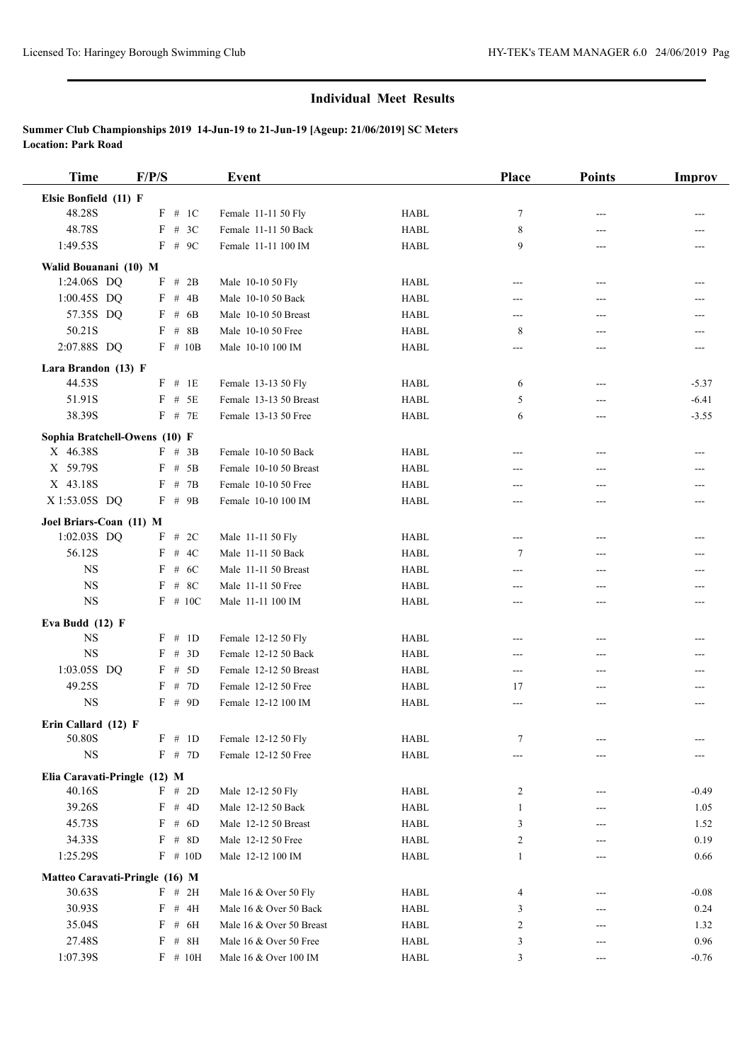| <b>Time</b>                               | F/P/S |                   | <b>Event</b>             |             | Place        | <b>Points</b> | Improv       |
|-------------------------------------------|-------|-------------------|--------------------------|-------------|--------------|---------------|--------------|
| Elsie Bonfield (11) F                     |       |                   |                          |             |              |               |              |
| 48.28S                                    |       | F # 1C            | Female 11-11 50 Fly      | <b>HABL</b> | 7            | ---           |              |
| 48.78S                                    |       | $F$ # 3C          | Female 11-11 50 Back     | <b>HABL</b> | $\,$ 8 $\,$  | ---           |              |
| 1:49.53S                                  |       | $F$ # 9C          | Female 11-11 100 IM      | <b>HABL</b> | 9            | ---           |              |
| Walid Bouanani (10) M                     |       |                   |                          |             |              |               |              |
| 1:24.06S DQ                               |       | $F$ # 2B          | Male 10-10 50 Fly        | <b>HABL</b> | ---          | $---$         | $---$        |
| 1:00.45S DQ                               |       | $F$ # 4B          | Male 10-10 50 Back       | <b>HABL</b> | ---          | ---           |              |
| 57.35S DQ                                 |       | $F$ # 6B          | Male 10-10 50 Breast     | <b>HABL</b> | ---          | ---           |              |
| 50.21S                                    |       | $F$ # 8B          | Male 10-10 50 Free       | <b>HABL</b> | 8            | ---           |              |
| 2:07.88S DQ                               |       | $F$ # 10B         | Male 10-10 100 IM        | <b>HABL</b> | ---          | ---           | $---$        |
| Lara Brandon (13) F                       |       |                   |                          |             |              |               |              |
| 44.53S                                    |       | $F$ # 1E          | Female 13-13 50 Fly      | <b>HABL</b> | 6            | $---$         | $-5.37$      |
| 51.91S                                    |       | $F$ # 5E          | Female 13-13 50 Breast   | <b>HABL</b> | 5            | ---           | $-6.41$      |
| 38.39S                                    |       | $F$ # 7E          | Female 13-13 50 Free     | <b>HABL</b> | 6            | ---           | $-3.55$      |
|                                           |       |                   |                          |             |              |               |              |
| Sophia Bratchell-Owens (10) F<br>X 46.38S |       | $F$ # 3B          | Female 10-10 50 Back     | <b>HABL</b> |              |               |              |
| X 59.79S                                  |       | $F$ # 5B          | Female 10-10 50 Breast   | <b>HABL</b> | ---<br>---   | ---<br>---    | ---          |
| X 43.18S                                  |       | $F$ # 7B          | Female 10-10 50 Free     | <b>HABL</b> |              |               | $---$        |
| X 1:53.05S DQ                             |       | $F$ # 9B          | Female 10-10 100 IM      | <b>HABL</b> | ---<br>$---$ | ---<br>$---$  | ---<br>$---$ |
|                                           |       |                   |                          |             |              |               |              |
| Joel Briars-Coan (11) M                   |       |                   |                          |             |              |               |              |
| 1:02.03S DQ                               |       | F # 2C            | Male 11-11 50 Fly        | <b>HABL</b> | $---$        | ---           |              |
| 56.12S                                    |       | $F$ # 4C          | Male 11-11 50 Back       | <b>HABL</b> | 7            | ---           |              |
| <b>NS</b>                                 |       | $F$ # 6C          | Male 11-11 50 Breast     | <b>HABL</b> | ---          | ---           |              |
| <b>NS</b>                                 |       | $F$ # 8C          | Male 11-11 50 Free       | <b>HABL</b> | ---          | ---           | ---          |
| <b>NS</b>                                 |       | $F$ # 10C         | Male 11-11 100 IM        | <b>HABL</b> | ---          | ---           | ---          |
| Eva Budd (12) F                           |       |                   |                          |             |              |               |              |
| $_{\rm NS}$                               |       | F # 1D            | Female 12-12 50 Fly      | <b>HABL</b> | ---          | ---           | ---          |
| <b>NS</b>                                 |       | $F$ # 3D          | Female 12-12 50 Back     | <b>HABL</b> | $---$        | $---$         | ---          |
| 1:03.05S DQ                               |       | $F$ # 5D          | Female 12-12 50 Breast   | <b>HABL</b> | ---          | ---           |              |
| 49.25S                                    |       | F # 7D            | Female 12-12 50 Free     | <b>HABL</b> | 17           | ---           | ---          |
| $_{\rm NS}$                               |       | $F$ # 9D          | Female 12-12 100 IM      | <b>HABL</b> | ---          | ---           | $---$        |
| Erin Callard (12) F                       |       |                   |                          |             |              |               |              |
| 50.80S                                    |       | F # 1D            | Female 12-12 50 Fly      | <b>HABL</b> | 7            |               |              |
| $_{\rm NS}$                               |       | F # 7D            | Female 12-12 50 Free     | <b>HABL</b> | $---$        | ---           |              |
| Elia Caravati-Pringle (12) M              |       |                   |                          |             |              |               |              |
| 40.16S                                    |       | F # 2D            | Male 12-12 50 Fly        | <b>HABL</b> | 2            | ---           | $-0.49$      |
| 39.26S                                    |       | F # 4D            | Male 12-12 50 Back       | <b>HABL</b> | 1            | ---           | 1.05         |
| 45.73S                                    |       | $F$ # 6D          | Male 12-12 50 Breast     | <b>HABL</b> | 3            | ---           | 1.52         |
| 34.33S                                    |       | $F$ # 8D          | Male 12-12 50 Free       | <b>HABL</b> | 2            |               | 0.19         |
| 1:25.29S                                  |       | $F \# 10D$        | Male 12-12 100 IM        | <b>HABL</b> | 1            | ---           | 0.66         |
| Matteo Caravati-Pringle (16) M            |       |                   |                          |             |              |               |              |
| 30.63S                                    |       | F # 2H            | Male 16 & Over 50 Fly    | HABL        | 4            |               | $-0.08$      |
| 30.93S                                    |       | $F$ # 4H          | Male 16 & Over 50 Back   | <b>HABL</b> | 3            | ---           | 0.24         |
| 35.04S                                    |       | $F$ # 6H          | Male 16 & Over 50 Breast | HABL        | 2            | ---           | 1.32         |
| 27.48S                                    |       | $\mathrm{F}$ # 8H | Male 16 & Over 50 Free   | HABL        | 3            |               | 0.96         |
| 1:07.39S                                  |       | $F$ # 10H         | Male 16 & Over 100 IM    | <b>HABL</b> | 3            | ---           | $-0.76$      |
|                                           |       |                   |                          |             |              |               |              |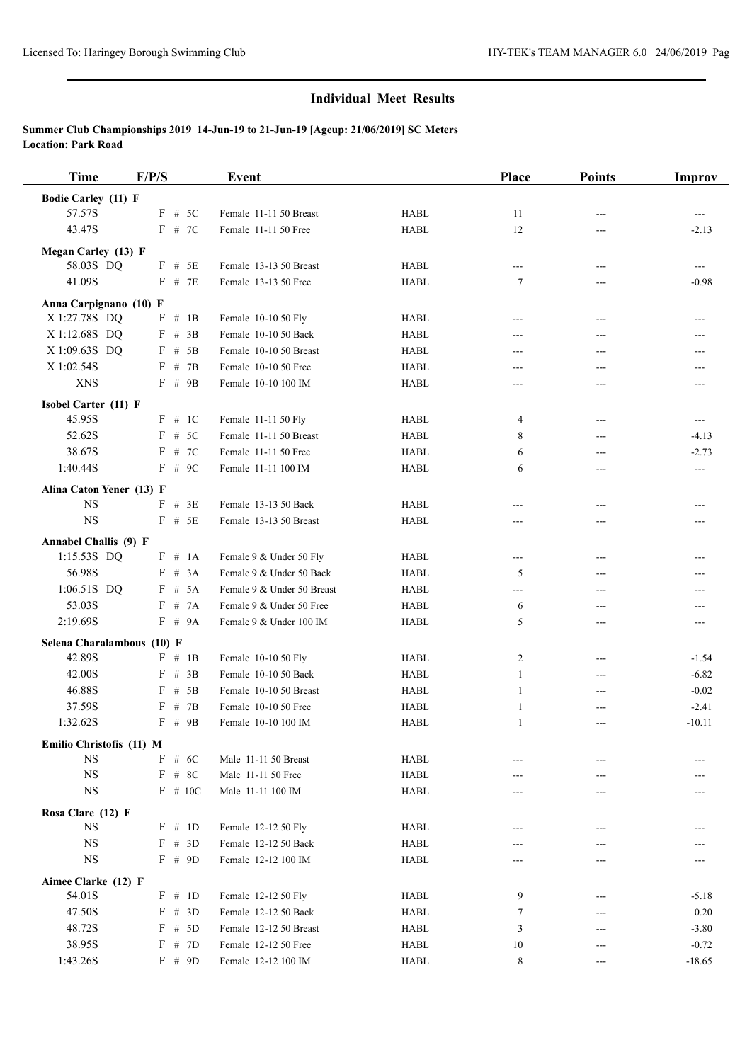| <b>Time</b>                             | F/P/S |                      | Event                                          |                            | Place          | <b>Points</b> | <b>Improv</b>          |
|-----------------------------------------|-------|----------------------|------------------------------------------------|----------------------------|----------------|---------------|------------------------|
| <b>Bodie Carley (11) F</b>              |       |                      |                                                |                            |                |               |                        |
| 57.57S                                  |       | F # 5C               | Female 11-11 50 Breast                         | HABL                       | 11             | ---           | ---                    |
| 43.47S                                  |       | F # 7C               | Female 11-11 50 Free                           | <b>HABL</b>                | 12             | ---           | $-2.13$                |
| <b>Megan Carley (13) F</b>              |       |                      |                                                |                            |                |               |                        |
| 58.03S DQ                               |       | $F$ # 5E             | Female 13-13 50 Breast                         | <b>HABL</b>                | $---$          | ---           | ---                    |
| 41.09S                                  |       | $F$ # 7E             | Female 13-13 50 Free                           | <b>HABL</b>                | $\tau$         |               | $-0.98$                |
|                                         |       |                      |                                                |                            |                |               |                        |
| Anna Carpignano (10) F<br>X 1:27.78S DQ |       | $F$ # 1B             | Female 10-10 50 Fly                            | HABL                       | ---            | ---           | ---                    |
| X 1:12.68S DQ                           |       | $F$ # 3B             | Female 10-10 50 Back                           | <b>HABL</b>                | ---            | ---           | ---                    |
| X 1:09.63S DQ                           |       | $F$ # 5B             | Female 10-10 50 Breast                         | <b>HABL</b>                | ---            | ---           | ---                    |
| X 1:02.54S                              |       | $F$ # 7B             | Female 10-10 50 Free                           | <b>HABL</b>                | ---            | ---           | ---                    |
| <b>XNS</b>                              |       | $F$ # 9B             | Female 10-10 100 IM                            | <b>HABL</b>                | ---            | ---           |                        |
|                                         |       |                      |                                                |                            |                |               |                        |
| Isobel Carter (11) F                    |       |                      |                                                |                            |                |               |                        |
| 45.95S                                  |       | F # 1C               | Female 11-11 50 Fly                            | <b>HABL</b>                | 4              | ---           | $---$                  |
| 52.62S<br>38.67S                        | F     | # $5C$               | Female 11-11 50 Breast<br>Female 11-11 50 Free | <b>HABL</b>                | 8              | ---           | $-4.13$                |
| 1:40.44S                                |       | $F$ # 7C<br>$F$ # 9C | Female 11-11 100 IM                            | <b>HABL</b><br><b>HABL</b> | 6              | ---           | $-2.73$                |
|                                         |       |                      |                                                |                            | 6              | ---           | $\qquad \qquad \cdots$ |
| Alina Caton Yener (13) F                |       |                      |                                                |                            |                |               |                        |
| <b>NS</b>                               |       | $F$ # 3E             | Female 13-13 50 Back                           | <b>HABL</b>                | ---            | ---           | ---                    |
| <b>NS</b>                               |       | $F$ # 5E             | Female 13-13 50 Breast                         | <b>HABL</b>                | ---            | ---           | ---                    |
| Annabel Challis (9) F                   |       |                      |                                                |                            |                |               |                        |
| 1:15.53S DQ                             |       | F # 1A               | Female 9 & Under 50 Fly                        | <b>HABL</b>                | ---            | ---           |                        |
| 56.98S                                  |       | F # 3A               | Female 9 & Under 50 Back                       | <b>HABL</b>                | 5              | ---           |                        |
| 1:06.51S DQ                             |       | F # 5A               | Female 9 & Under 50 Breast                     | <b>HABL</b>                | ---            | ---           |                        |
| 53.03S                                  |       | F # 7A               | Female 9 & Under 50 Free                       | <b>HABL</b>                | 6              | ---           | ---                    |
| 2:19.69S                                |       | F # 9A               | Female 9 & Under 100 IM                        | <b>HABL</b>                | 5              | ---           | ---                    |
| Selena Charalambous (10) F              |       |                      |                                                |                            |                |               |                        |
| 42.89S                                  |       | F # 1B               | Female 10-10 50 Fly                            | <b>HABL</b>                | $\overline{c}$ | ---           | $-1.54$                |
| 42.00S                                  |       | F # 3B               | Female 10-10 50 Back                           | HABL                       | $\mathbf{1}$   | ---           | $-6.82$                |
| 46.88S                                  | F     | $#$ 5B               | Female 10-10 50 Breast                         | <b>HABL</b>                | 1              | ---           | $-0.02$                |
| 37.59S                                  | F     | # $7B$               | Female 10-10 50 Free                           | <b>HABL</b>                | 1              |               | $-2.41$                |
| 1:32.62S                                |       | $F$ # 9B             | Female 10-10 100 IM                            | <b>HABL</b>                | $\mathbf{1}$   | ---           | $-10.11$               |
| Emilio Christofis (11) M                |       |                      |                                                |                            |                |               |                        |
| <b>NS</b>                               | F     | # $6C$               | Male 11-11 50 Breast                           | <b>HABL</b>                |                |               |                        |
| <b>NS</b>                               | F     | # $8C$               | Male 11-11 50 Free                             | <b>HABL</b>                |                |               |                        |
| $_{\rm NS}$                             |       | $F \# 10C$           | Male 11-11 100 IM                              | <b>HABL</b>                |                |               |                        |
| Rosa Clare (12) F                       |       |                      |                                                |                            |                |               |                        |
| $_{\rm NS}$                             |       | F # 1D               | Female 12-12 50 Fly                            | HABL                       |                |               |                        |
| <b>NS</b>                               | F     | # $3D$               | Female 12-12 50 Back                           | <b>HABL</b>                | ---            | ---           |                        |
| <b>NS</b>                               |       | F # 9D               | Female 12-12 100 IM                            | <b>HABL</b>                | ---            | ---           |                        |
| Aimee Clarke (12) F                     |       |                      |                                                |                            |                |               |                        |
| 54.01S                                  |       | $F \# 1D$            | Female 12-12 50 Fly                            | <b>HABL</b>                | 9              | ---           | $-5.18$                |
| 47.50S                                  |       | F # 3D               | Female 12-12 50 Back                           | <b>HABL</b>                | 7              | ---           | 0.20                   |
| 48.72S                                  |       | F # 5D               | Female 12-12 50 Breast                         | <b>HABL</b>                | 3              | ---           | $-3.80$                |
| 38.95S                                  |       | F # 7D               | Female 12-12 50 Free                           | HABL                       | 10             |               | $-0.72$                |
| 1:43.26S                                |       | $F \# 9D$            | Female 12-12 100 IM                            | HABL                       | 8              | ---           | $-18.65$               |
|                                         |       |                      |                                                |                            |                |               |                        |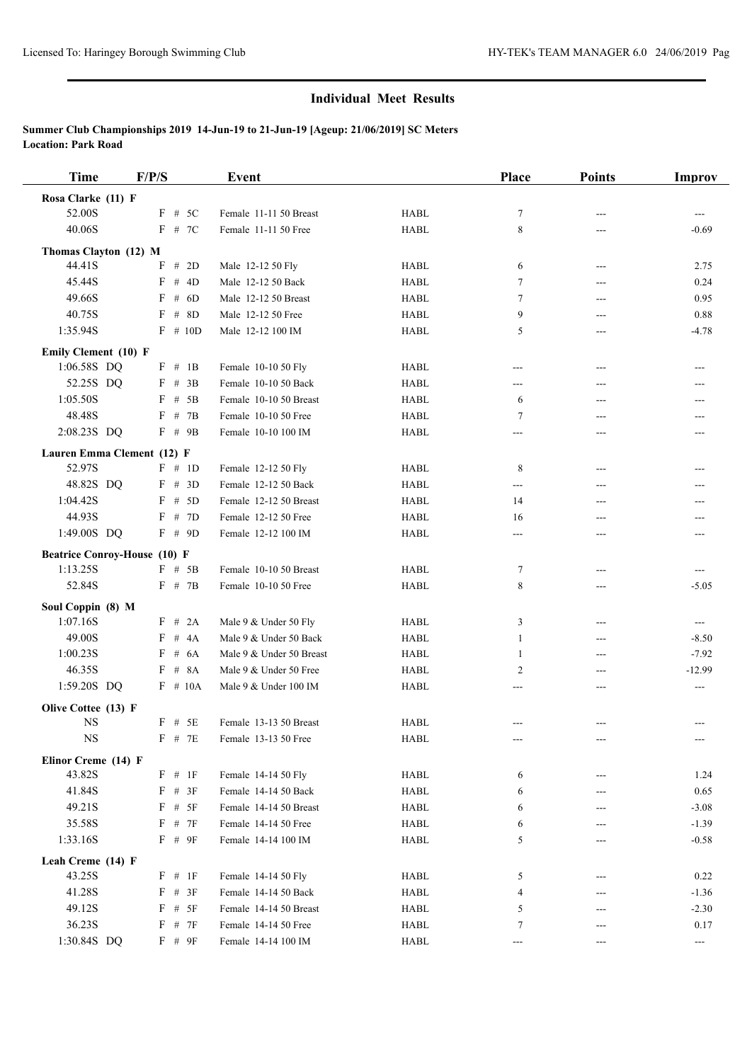| <b>Time</b>                         | F/P/S                | <b>Event</b>                                |                                | Place          | <b>Points</b> | Improv                     |
|-------------------------------------|----------------------|---------------------------------------------|--------------------------------|----------------|---------------|----------------------------|
| Rosa Clarke (11) F                  |                      |                                             |                                |                |               |                            |
| 52.00S                              | $F$ # 5C             | Female 11-11 50 Breast                      | <b>HABL</b>                    | 7              | ---           | $---$                      |
| 40.06S                              | $F$ # 7C             | Female 11-11 50 Free                        | <b>HABL</b>                    | $\,$ $\,$      | $---$         | $-0.69$                    |
| Thomas Clayton (12) M               |                      |                                             |                                |                |               |                            |
| 44.41S                              | F # 2D               | Male 12-12 50 Fly                           | <b>HABL</b>                    | 6              | ---           | 2.75                       |
| 45.44S                              | F # 4D               | Male 12-12 50 Back                          | <b>HABL</b>                    | $\tau$         | $---$         | 0.24                       |
| 49.66S                              | # $6D$<br>$_{\rm F}$ | Male 12-12 50 Breast                        | <b>HABL</b>                    | 7              | ---           | 0.95                       |
| 40.75S                              | $F$ # 8D             | Male 12-12 50 Free                          | <b>HABL</b>                    | 9              | $---$         | 0.88                       |
| 1:35.94S                            | $F \# 10D$           | Male 12-12 100 IM                           | <b>HABL</b>                    | 5              | ---           | $-4.78$                    |
| Emily Clement (10) F                |                      |                                             |                                |                |               |                            |
| 1:06.58S DQ                         | F # 1B               | Female 10-10 50 Fly                         | <b>HABL</b>                    | ---            | ---           | $---$                      |
| 52.25S DQ                           | $F$ # 3B             | Female 10-10 50 Back                        | <b>HABL</b>                    | ---            | ---           | ---                        |
| 1:05.50S                            | $F$ # 5B             | Female 10-10 50 Breast                      | <b>HABL</b>                    | 6              | ---           | ---                        |
| 48.48S                              | $F$ # 7B             | Female 10-10 50 Free                        | <b>HABL</b>                    | 7              | ---           |                            |
| 2:08.23S DQ                         | $F$ # 9B             | Female 10-10 100 IM                         | <b>HABL</b>                    | ---            | $---$         | ---                        |
| Lauren Emma Clement (12) F          |                      |                                             |                                |                |               |                            |
| 52.97S                              | F # 1D               | Female 12-12 50 Fly                         | <b>HABL</b>                    | 8              | ---           |                            |
| 48.82S DQ                           | F # 3D               | Female 12-12 50 Back                        | <b>HABL</b>                    | ---            | ---           | ---                        |
| 1:04.42S                            | $F$ # 5D             | Female 12-12 50 Breast                      | <b>HABL</b>                    | 14             | ---           | ---                        |
| 44.93S                              | F # 7D               | Female 12-12 50 Free                        | <b>HABL</b>                    | 16             | ---           | ---                        |
| 1:49.00S DQ                         | $F \# 9D$            | Female 12-12 100 IM                         | <b>HABL</b>                    | $---$          | ---           | ---                        |
| <b>Beatrice Conroy-House (10) F</b> |                      |                                             |                                |                |               |                            |
| 1:13.25S                            | $F$ # 5B             | Female 10-10 50 Breast                      | <b>HABL</b>                    | 7              | ---           | ---                        |
| 52.84S                              | $F$ # 7B             | Female 10-10 50 Free                        | <b>HABL</b>                    | 8              | $---$         | $-5.05$                    |
| Soul Coppin (8) M                   |                      |                                             |                                |                |               |                            |
| 1:07.16S                            | F # 2A               | Male 9 & Under 50 Fly                       | <b>HABL</b>                    | 3              | ---           | ---                        |
| 49.00S                              | $F$ # 4A             | Male 9 & Under 50 Back                      | <b>HABL</b>                    | $\mathbf{1}$   | ---           | $-8.50$                    |
| 1:00.23S                            | $F$ # 6A             | Male 9 & Under 50 Breast                    | <b>HABL</b>                    | 1              | ---           | $-7.92$                    |
| 46.35S                              | $F$ # 8A             | Male 9 & Under 50 Free                      | <b>HABL</b>                    | $\overline{2}$ | ---           | $-12.99$                   |
| 1:59.20S DQ                         | $F$ # 10A            | Male 9 & Under 100 IM                       | <b>HABL</b>                    | $---$          | ---           | $\qquad \qquad \text{---}$ |
| Olive Cottee (13) F                 |                      |                                             |                                |                |               |                            |
| <b>NS</b>                           | $F$ # 5E             | Female 13-13 50 Breast                      | <b>HABL</b>                    | ---            |               | ---                        |
| $_{\rm NS}$                         | $F$ # 7E             | Female 13-13 50 Free                        | HABL                           | ---            | ---           | $\qquad \qquad \cdots$     |
| Elinor Creme (14) F                 |                      |                                             |                                |                |               |                            |
| 43.82S                              | $\mathbf{F}$ # 1F    | Female 14-14 50 Fly                         | HABL                           | 6              | ---           | 1.24                       |
| 41.84S                              | $F$ # 3F             | Female 14-14 50 Back                        | ${\rm H}{\bf A}{\bf B}{\bf L}$ | 6              | ---           | 0.65                       |
| 49.21S                              | $F$ # 5F             | Female 14-14 50 Breast                      | HABL                           | 6              |               | $-3.08$                    |
| 35.58S                              | $F$ # $7F$           | Female 14-14 50 Free                        | HABL                           | 6              |               | $-1.39$                    |
| 1:33.16S                            | $F$ # 9F             | Female 14-14 100 IM                         | HABL                           | 5              | ---           | $-0.58$                    |
|                                     |                      |                                             |                                |                |               |                            |
| Leah Creme (14) F                   |                      |                                             |                                |                |               |                            |
| 43.25S                              | $\mathbf{F}$ # 1F    | Female 14-14 50 Fly<br>Female 14-14 50 Back | HABL                           | 5              | ---           | 0.22                       |
| 41.28S                              | $F$ # 3F             |                                             | HABL                           | 4              |               | $-1.36$                    |
| 49.12S                              | $F$ # 5F             | Female 14-14 50 Breast                      | HABL                           | 5              | ---           | $-2.30$                    |
| 36.23S                              | $F$ # $7F$           | Female 14-14 50 Free                        | HABL                           | 7              |               | 0.17                       |
| 1:30.84S DQ                         | F # 9F               | Female 14-14 100 IM                         | HABL                           | ---            | ---           | ---                        |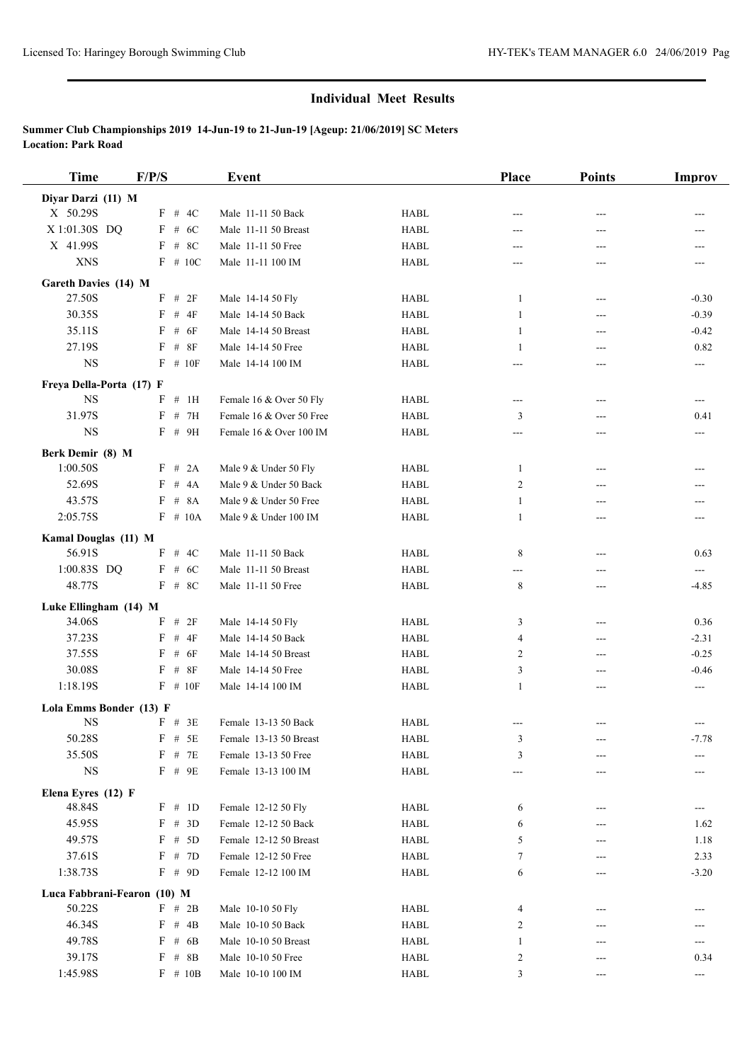| <b>Time</b>                     | F/P/S             |        | Event                                   |             | <b>Place</b> | <b>Points</b> | <b>Improv</b>            |
|---------------------------------|-------------------|--------|-----------------------------------------|-------------|--------------|---------------|--------------------------|
| Diyar Darzi (11) M              |                   |        |                                         |             |              |               |                          |
| X 50.29S                        | F # 4C            |        | Male 11-11 50 Back                      | <b>HABL</b> | ---          | $---$         | ---                      |
| X 1:01.30S DQ                   | $F$ # 6C          |        | Male 11-11 50 Breast                    | <b>HABL</b> | ---          | ---           |                          |
| X 41.99S                        | $F$ # 8C          |        | Male 11-11 50 Free                      | <b>HABL</b> | ---          | ---           |                          |
| <b>XNS</b>                      | $F \# 10C$        |        | Male 11-11 100 IM                       | <b>HABL</b> | ---          | ---           | ---                      |
| Gareth Davies (14) M            |                   |        |                                         |             |              |               |                          |
| 27.50S                          | F # 2F            |        | Male 14-14 50 Fly                       | <b>HABL</b> | 1            | $---$         | $-0.30$                  |
| 30.35S                          | F # 4F            |        | Male 14-14 50 Back                      | <b>HABL</b> | 1            | ---           | $-0.39$                  |
| 35.11S                          | F                 | $#$ 6F | Male 14-14 50 Breast                    | <b>HABL</b> | 1            | ---           | $-0.42$                  |
| 27.19S                          | F                 | #8F    | Male 14-14 50 Free                      | <b>HABL</b> | 1            | ---           | 0.82                     |
| $_{\rm NS}$                     | $F$ # 10F         |        | Male 14-14 100 IM                       | <b>HABL</b> | ---          | ---           | ---                      |
|                                 |                   |        |                                         |             |              |               |                          |
| Freya Della-Porta (17) F        |                   |        |                                         |             |              |               |                          |
| <b>NS</b>                       | F # 1H            |        | Female 16 & Over 50 Fly                 | <b>HABL</b> | ---          | ---           | ---                      |
| 31.97S                          | $\boldsymbol{F}$  | # 7H   | Female 16 & Over 50 Free                | <b>HABL</b> | 3            | ---           | 0.41                     |
| $_{\rm NS}$                     | $F$ # 9H          |        | Female 16 & Over 100 IM                 | <b>HABL</b> | ---          | ---           | ---                      |
| Berk Demir (8) M                |                   |        |                                         |             |              |               |                          |
| 1:00.50S                        | F # 2A            |        | Male 9 & Under 50 Fly                   | <b>HABL</b> | 1            | ---           | ---                      |
| 52.69S                          | F # 4A            |        | Male 9 & Under 50 Back                  | <b>HABL</b> | 2            | ---           | ---                      |
| 43.57S                          | F                 | # $8A$ | Male 9 & Under 50 Free                  | <b>HABL</b> | 1            | ---           | ---                      |
| 2:05.75S                        | $F$ # 10A         |        | Male 9 & Under 100 IM                   | <b>HABL</b> | 1            | ---           | ---                      |
| Kamal Douglas (11) M            |                   |        |                                         |             |              |               |                          |
| 56.91S                          | F                 | # $4C$ | Male 11-11 50 Back                      | <b>HABL</b> | 8            | $---$         | 0.63                     |
| 1:00.83S DQ                     | $\boldsymbol{F}$  | # $6C$ | Male 11-11 50 Breast                    | <b>HABL</b> | ---          | ---           | $\qquad \qquad \cdots$   |
| 48.77S                          | $F$ # 8C          |        | Male 11-11 50 Free                      | <b>HABL</b> | 8            | ---           | $-4.85$                  |
|                                 |                   |        |                                         |             |              |               |                          |
| Luke Ellingham (14) M<br>34.06S | F                 | # $2F$ |                                         | <b>HABL</b> | 3            | $---$         | 0.36                     |
| 37.23S                          | F                 | # $4F$ | Male 14-14 50 Fly<br>Male 14-14 50 Back | <b>HABL</b> | 4            |               | $-2.31$                  |
| 37.55S                          | F # 6F            |        | Male 14-14 50 Breast                    | <b>HABL</b> |              | ---           | $-0.25$                  |
| 30.08S                          | $F$ # 8F          |        | Male 14-14 50 Free                      | <b>HABL</b> | 2            | ---           |                          |
|                                 |                   |        |                                         |             | 3            | ---           | $-0.46$                  |
| 1:18.19S                        | $F$ # 10F         |        | Male 14-14 100 IM                       | <b>HABL</b> | 1            | ---           | $---$                    |
| Lola Emms Bonder (13) F         |                   |        |                                         |             |              |               |                          |
| <b>NS</b>                       | $F$ # 3E          |        | Female 13-13 50 Back                    | <b>HABL</b> | ---          | $---$         | $---$                    |
| 50.28S                          | $\mathrm{F}$ # 5E |        | Female 13-13 50 Breast                  | HABL        | 3            | ---           | $-7.78$                  |
| 35.50S                          | F                 | # 7E   | Female 13-13 50 Free                    | HABL        | 3            |               |                          |
| $_{\rm NS}$                     | $F$ # 9E          |        | Female 13-13 100 IM                     | HABL        | ---          | ---           |                          |
| Elena Eyres (12) F              |                   |        |                                         |             |              |               |                          |
| 48.84S                          | F # 1D            |        | Female 12-12 50 Fly                     | HABL        | 6            | ---           | $---$                    |
| 45.95S                          | $F \# 3D$         |        | Female 12-12 50 Back                    | HABL        | 6            | ---           | 1.62                     |
| 49.57S                          | F # 5D            |        | Female 12-12 50 Breast                  | HABL        | 5            | ---           | 1.18                     |
| 37.61S                          | F # 7D            |        | Female 12-12 50 Free                    | HABL        | 7            | ---           | 2.33                     |
| 1:38.73S                        | F # 9D            |        | Female 12-12 100 IM                     | HABL        | 6            | ---           | $-3.20$                  |
| Luca Fabbrani-Fearon (10) M     |                   |        |                                         |             |              |               |                          |
| 50.22S                          | F # 2B            |        | Male 10-10 50 Fly                       | HABL        | 4            |               |                          |
| 46.34S                          | $F$ # 4B          |        | Male 10-10 50 Back                      | HABL        | 2            | ---           |                          |
| 49.78S                          | $F$ # 6B          |        | Male 10-10 50 Breast                    | HABL        | 1            |               | ---                      |
| 39.17S                          | $F$ # 8B          |        | Male 10-10 50 Free                      | HABL        | 2            |               | 0.34                     |
| 1:45.98S                        | $F \# 10B$        |        | Male 10-10 100 IM                       | HABL        | 3            | ---           | $\hspace{0.05cm} \ldots$ |
|                                 |                   |        |                                         |             |              |               |                          |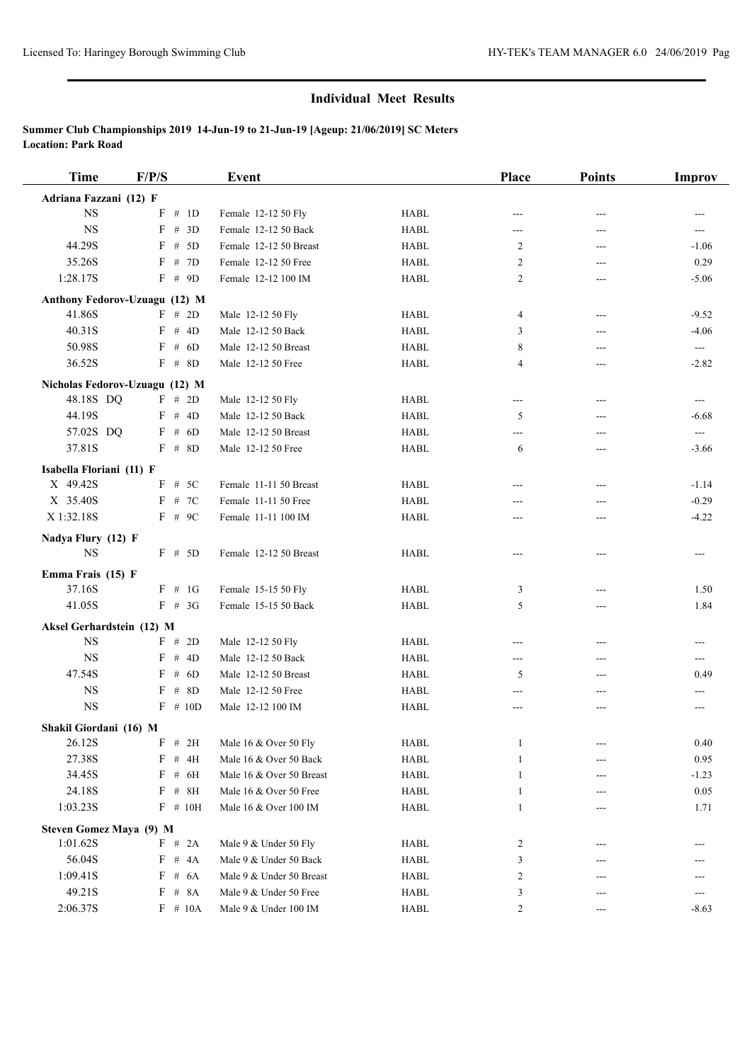| <b>Time</b>                    | F/P/S       | <b>Event</b>             |                                | Place          | <b>Points</b> | Improv              |
|--------------------------------|-------------|--------------------------|--------------------------------|----------------|---------------|---------------------|
| Adriana Fazzani (12) F         |             |                          |                                |                |               |                     |
| $_{\rm NS}$                    | F # 1D      | Female 12-12 50 Fly      | <b>HABL</b>                    | ---            | ---           | ---                 |
| <b>NS</b>                      | F # 3D      | Female 12-12 50 Back     | <b>HABL</b>                    | ---            | ---           | $\qquad \qquad - -$ |
| 44.29S                         | # $5D$<br>F | Female 12-12 50 Breast   | HABL                           | $\overline{c}$ | $---$         | $-1.06$             |
| 35.26S                         | F # 7D      | Female 12-12 50 Free     | <b>HABL</b>                    | 2              | ---           | 0.29                |
| 1:28.17S                       | $F$ # 9D    | Female 12-12 100 IM      | <b>HABL</b>                    | 2              | $---$         | $-5.06$             |
| Anthony Fedorov-Uzuagu (12) M  |             |                          |                                |                |               |                     |
| 41.86S                         | F # 2D      | Male 12-12 50 Fly        | <b>HABL</b>                    | 4              | ---           | $-9.52$             |
| 40.31S                         | F # 4D      | Male 12-12 50 Back       | <b>HABL</b>                    | 3              | ---           | $-4.06$             |
| 50.98S                         | F # 6D      | Male 12-12 50 Breast     | <b>HABL</b>                    | 8              | ---           | $\sim$              |
| 36.52S                         | $F$ # 8D    | Male 12-12 50 Free       | <b>HABL</b>                    | $\overline{4}$ | ---           | $-2.82$             |
| Nicholas Fedorov-Uzuagu (12) M |             |                          |                                |                |               |                     |
| 48.18S DQ                      | F # 2D      | Male 12-12 50 Fly        | <b>HABL</b>                    | ---            | $---$         | $---$               |
| 44.19S                         | F # 4D      | Male 12-12 50 Back       | <b>HABL</b>                    | 5              | $---$         | $-6.68$             |
| 57.02S DQ                      | F # 6D      | Male 12-12 50 Breast     | <b>HABL</b>                    | ---            | ---           | $\sim$ $\sim$       |
| 37.81S                         | $F \# 8D$   | Male 12-12 50 Free       | <b>HABL</b>                    | 6              | ---           | $-3.66$             |
| Isabella Floriani (11) F       |             |                          |                                |                |               |                     |
| X 49.42S                       | $F$ # 5C    | Female 11-11 50 Breast   | <b>HABL</b>                    |                | ---           | $-1.14$             |
| X 35.40S                       | F # 7C      | Female 11-11 50 Free     | <b>HABL</b>                    | ---            | ---           | $-0.29$             |
| X 1:32.18S                     | $F$ # 9C    | Female 11-11 100 IM      | <b>HABL</b>                    | ---            | ---           | $-4.22$             |
| Nadya Flury (12) F             |             |                          |                                |                |               |                     |
| <b>NS</b>                      | F # 5D      | Female 12-12 50 Breast   | <b>HABL</b>                    | ---            | ---           | $---$               |
| Emma Frais (15) F              |             |                          |                                |                |               |                     |
| 37.16S                         | $F \# 1G$   | Female 15-15 50 Fly      | <b>HABL</b>                    | 3              | ---           | 1.50                |
| 41.05S                         | $F$ # 3G    | Female 15-15 50 Back     | <b>HABL</b>                    | 5              | ---           | 1.84                |
| Aksel Gerhardstein (12) M      |             |                          |                                |                |               |                     |
| <b>NS</b>                      | F # 2D      | Male 12-12 50 Fly        | <b>HABL</b>                    | ---            | $---$         | $---$               |
| <b>NS</b>                      | F # 4D      | Male 12-12 50 Back       | <b>HABL</b>                    | ---            | $---$         | ---                 |
| 47.54S                         | F # 6D      | Male 12-12 50 Breast     | <b>HABL</b>                    | 5              | ---           | 0.49                |
| $_{\rm NS}$                    | F<br># 8D   | Male 12-12 50 Free       | <b>HABL</b>                    | ---            | ---           | ---                 |
| $_{\rm NS}$                    | $F \# 10D$  | Male 12-12 100 IM        | <b>HABL</b>                    | ---            | ---           | $---$               |
| Shakil Giordani (16) M         |             |                          |                                |                |               |                     |
| 26.12S                         | F # 2H      | Male 16 & Over 50 Fly    | HABL                           | 1              |               | 0.40                |
| 27.38S                         | F<br># 4H   | Male 16 & Over 50 Back   | ${\rm H}{\bf A}{\bf B}{\bf L}$ | 1              |               | 0.95                |
| 34.45S                         | $F$ # 6H    | Male 16 & Over 50 Breast | HABL                           | 1              |               | $-1.23$             |
| 24.18S                         | F<br># 8H   | Male 16 & Over 50 Free   | HABL                           | 1              |               | 0.05                |
| 1:03.23S                       | $F$ # 10H   | Male 16 & Over 100 IM    | <b>HABL</b>                    | 1              |               | 1.71                |
| Steven Gomez Maya (9) M        |             |                          |                                |                |               |                     |
| 1:01.62S                       | F # 2A      | Male 9 & Under 50 Fly    | HABL                           | 2              |               |                     |
| 56.04S                         | $F$ # 4A    | Male 9 & Under 50 Back   | HABL                           | 3              |               |                     |
| 1:09.41S                       | $F$ # $6A$  | Male 9 & Under 50 Breast | HABL                           | 2              | ---           |                     |
| 49.21S                         | $F$ # $8A$  | Male 9 & Under 50 Free   | HABL                           | 3              |               | ---                 |
| 2:06.37S                       | $F \# 10A$  | Male 9 & Under 100 IM    | HABL                           | $\overline{c}$ | ---           | $-8.63$             |
|                                |             |                          |                                |                |               |                     |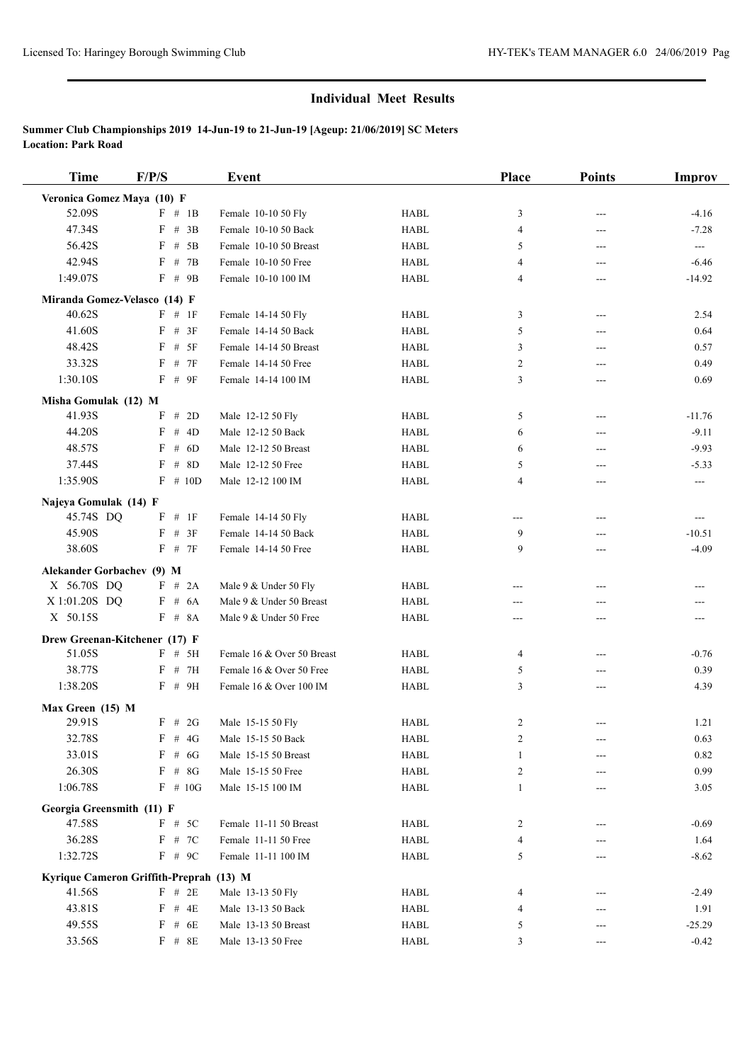| <b>Time</b>                                       | F/P/S                  | Event                                   |                     | Place          | <b>Points</b> | <b>Improv</b>              |
|---------------------------------------------------|------------------------|-----------------------------------------|---------------------|----------------|---------------|----------------------------|
| Veronica Gomez Maya (10) F                        |                        |                                         |                     |                |               |                            |
| 52.09S                                            | F # 1B                 | Female 10-10 50 Fly                     | <b>HABL</b>         | 3              | ---           | $-4.16$                    |
| 47.34S                                            | $F$ # 3B               | Female 10-10 50 Back                    | <b>HABL</b>         | 4              | ---           | $-7.28$                    |
| 56.42S                                            | $F$ # 5B               | Female 10-10 50 Breast                  | <b>HABL</b>         | 5              | ---           | ---                        |
| 42.94S                                            | $F$ # 7B               | Female 10-10 50 Free                    | <b>HABL</b>         | 4              | ---           | $-6.46$                    |
| 1:49.07S                                          | $F$ # 9B               | Female 10-10 100 IM                     | <b>HABL</b>         | 4              | ---           | $-14.92$                   |
| Miranda Gomez-Velasco (14) F                      |                        |                                         |                     |                |               |                            |
| 40.62S                                            | F # 1F                 | Female 14-14 50 Fly                     | <b>HABL</b>         | 3              | ---           | 2.54                       |
| 41.60S                                            | $F$ # 3F               | Female 14-14 50 Back                    | <b>HABL</b>         | 5              | ---           | 0.64                       |
| 48.42S                                            | $F$ # 5F               | Female 14-14 50 Breast                  | <b>HABL</b>         | 3              | ---           | 0.57                       |
| 33.32S                                            | $F$ # 7F               | Female 14-14 50 Free                    | <b>HABL</b>         | 2              | ---           | 0.49                       |
| 1:30.10S                                          | $F$ # 9F               | Female 14-14 100 IM                     | <b>HABL</b>         | 3              | ---           | 0.69                       |
| Misha Gomulak (12) M                              |                        |                                         |                     |                |               |                            |
| 41.93S                                            | F # 2D                 | Male 12-12 50 Fly                       | <b>HABL</b>         | 5              | ---           | $-11.76$                   |
| 44.20S                                            | F # 4D                 | Male 12-12 50 Back                      | <b>HABL</b>         | 6              | ---           | $-9.11$                    |
| 48.57S                                            | $F \# 6D$              | Male 12-12 50 Breast                    | <b>HABL</b>         | 6              | $---$         | $-9.93$                    |
| 37.44S                                            | F<br># $8D$            | Male 12-12 50 Free                      | <b>HABL</b>         | 5              | ---           | $-5.33$                    |
| 1:35.90S                                          | $F$ # 10D              | Male 12-12 100 IM                       | <b>HABL</b>         | $\overline{4}$ | ---           | $---$                      |
|                                                   |                        |                                         |                     |                |               |                            |
| Najeya Gomulak (14) F                             |                        |                                         |                     |                |               |                            |
| 45.74S DQ                                         | $F$ # 1F               | Female 14-14 50 Fly                     | <b>HABL</b>         | $---$          | ---           | $\qquad \qquad \text{---}$ |
| 45.90S                                            | $F$ # 3F               | Female 14-14 50 Back                    | <b>HABL</b>         | 9              | $---$         | $-10.51$                   |
| 38.60S                                            | F # 7F                 | Female 14-14 50 Free                    | <b>HABL</b>         | 9              | ---           | $-4.09$                    |
| Alekander Gorbachev (9) M                         |                        |                                         |                     |                |               |                            |
| X 56.70S DQ                                       | F # 2A                 | Male 9 & Under 50 Fly                   | <b>HABL</b>         | ---            | ---           |                            |
| X 1:01.20S DQ                                     | $F$ # 6A               | Male 9 & Under 50 Breast                | <b>HABL</b>         | $---$          | $---$         |                            |
| X 50.15S                                          | $F$ # 8A               | Male 9 & Under 50 Free                  | <b>HABL</b>         | $---$          | ---           | $---$                      |
| Drew Greenan-Kitchener (17) F                     |                        |                                         |                     |                |               |                            |
| 51.05S                                            | $F$ # 5H               | Female 16 & Over 50 Breast              | <b>HABL</b>         | 4              | ---           | $-0.76$                    |
| 38.77S                                            | $F$ # 7H               | Female 16 & Over 50 Free                | <b>HABL</b>         | 5              | ---           | 0.39                       |
| 1:38.20S                                          | F # 9H                 | Female 16 & Over 100 IM                 | <b>HABL</b>         | 3              | ---           | 4.39                       |
| Max Green (15) M                                  |                        |                                         |                     |                |               |                            |
| 29.91S                                            | $F$ # 2G               | Male 15-15 50 Fly                       | <b>HABL</b>         | $\overline{c}$ | $---$         | 1.21                       |
| 32.78S                                            | $F \# 4G$              | Male 15-15 50 Back                      | <b>HABL</b>         | 2              | ---           | 0.63                       |
| 33.01S                                            | $F$ # 6G               | Male 15-15 50 Breast                    | <b>HABL</b>         | 1              |               | 0.82                       |
| 26.30S                                            | $\mathbf{F}$<br># $8G$ | Male 15-15 50 Free                      | <b>HABL</b>         | 2              |               | 0.99                       |
| 1:06.78S                                          | $F$ # 10G              | Male 15-15 100 IM                       | <b>HABL</b>         | 1              |               | 3.05                       |
| Georgia Greensmith (11) F                         |                        |                                         |                     |                |               |                            |
| 47.58S                                            | $F$ # 5C               | Female 11-11 50 Breast                  | <b>HABL</b>         | 2              |               | $-0.69$                    |
| 36.28S                                            | $F$ # 7C               | Female 11-11 50 Free                    | HABL                | 4              |               | 1.64                       |
| 1:32.72S                                          | $F$ # 9C               | Female 11-11 100 IM                     | <b>HABL</b>         | 5              | ---           | $-8.62$                    |
|                                                   |                        |                                         |                     |                |               |                            |
| Kyrique Cameron Griffith-Preprah (13) M<br>41.56S | $F$ # 2E               |                                         |                     |                |               | $-2.49$                    |
| 43.81S                                            | $F$ # 4E               | Male 13-13 50 Fly<br>Male 13-13 50 Back | HABL<br><b>HABL</b> | 4<br>4         | ---           | 1.91                       |
| 49.55S                                            | $F$ # 6E               | Male 13-13 50 Breast                    |                     |                |               | $-25.29$                   |
| 33.56S                                            | $F$ # 8E               | Male 13-13 50 Free                      | <b>HABL</b>         | 5              | ---           | $-0.42$                    |
|                                                   |                        |                                         | HABL                | 3              |               |                            |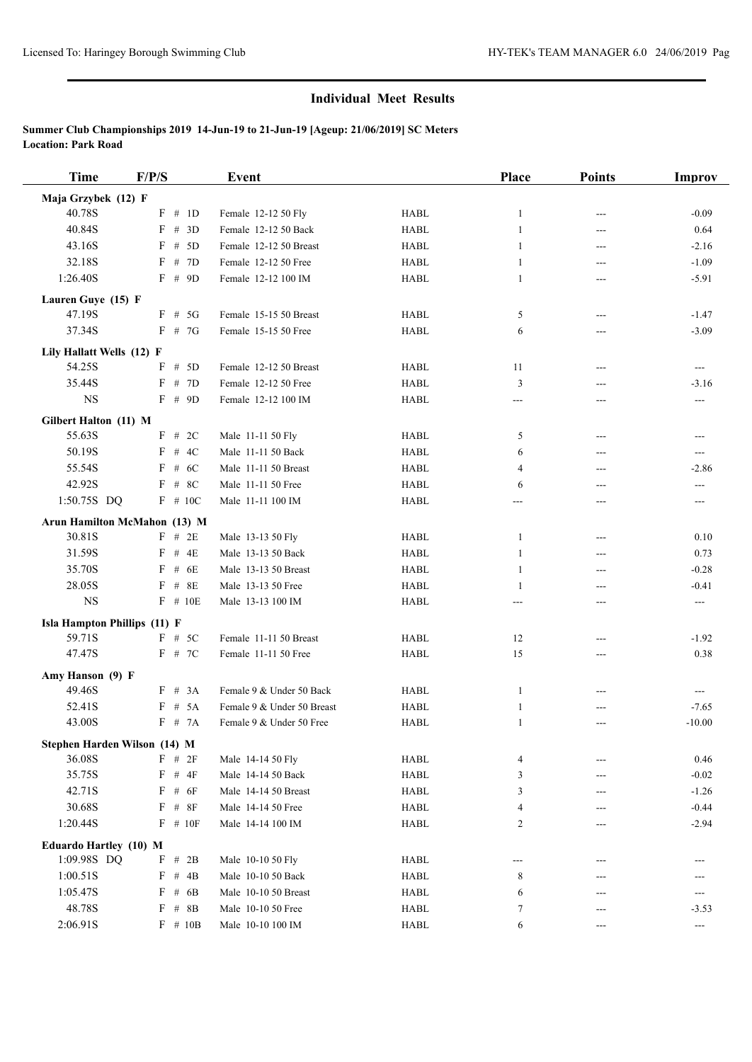| <b>Time</b>                         | F/P/S        |                  | <b>Event</b>                            |                            | Place        | <b>Points</b> | <b>Improv</b>                       |
|-------------------------------------|--------------|------------------|-----------------------------------------|----------------------------|--------------|---------------|-------------------------------------|
| Maja Grzybek (12) F                 |              |                  |                                         |                            |              |               |                                     |
| 40.78S                              |              | F # 1D           | Female 12-12 50 Fly                     | <b>HABL</b>                | $\mathbf{1}$ | ---           | $-0.09$                             |
| 40.84S                              | F            | # $3D$           | Female 12-12 50 Back                    | <b>HABL</b>                | $\mathbf{1}$ | ---           | 0.64                                |
| 43.16S                              | F            | # $5D$           | Female 12-12 50 Breast                  | HABL                       | 1            | ---           | $-2.16$                             |
| 32.18S                              | $_{\rm F}$   | # 7D             | Female 12-12 50 Free                    | <b>HABL</b>                | 1            | ---           | $-1.09$                             |
| 1:26.40S                            |              | $F$ # 9D         | Female 12-12 100 IM                     | <b>HABL</b>                | $\mathbf{1}$ | ---           | $-5.91$                             |
| Lauren Guye (15) F                  |              |                  |                                         |                            |              |               |                                     |
| 47.19S                              |              | $F$ # 5G         | Female 15-15 50 Breast                  | <b>HABL</b>                | 5            | ---           | $-1.47$                             |
| 37.34S                              |              | $F$ # 7G         | Female 15-15 50 Free                    | <b>HABL</b>                | 6            | ---           | $-3.09$                             |
|                                     |              |                  |                                         |                            |              |               |                                     |
| Lily Hallatt Wells (12) F<br>54.25S | F            | # $5D$           | Female 12-12 50 Breast                  | <b>HABL</b>                | 11           | ---           | $\hspace{0.05cm}---\hspace{0.05cm}$ |
| 35.44S                              | F            | # 7D             | Female 12-12 50 Free                    | <b>HABL</b>                | 3            | ---           | $-3.16$                             |
| <b>NS</b>                           |              | $F$ # 9D         | Female 12-12 100 IM                     | <b>HABL</b>                | ---          |               |                                     |
|                                     |              |                  |                                         |                            |              |               |                                     |
| Gilbert Halton (11) M<br>55.63S     | F            | # $2C$           |                                         | <b>HABL</b>                | 5            |               |                                     |
| 50.19S                              | $\mathbf{F}$ | # $4C$           | Male 11-11 50 Fly<br>Male 11-11 50 Back | <b>HABL</b>                |              | ---           | ---                                 |
| 55.54S                              | F            | # $6C$           | Male 11-11 50 Breast                    | <b>HABL</b>                | 6<br>4       | ---           | ---<br>$-2.86$                      |
| 42.92S                              |              | $F$ # 8C         | Male 11-11 50 Free                      | <b>HABL</b>                |              | ---           |                                     |
| 1:50.75S DQ                         |              | $F$ # 10C        | Male 11-11 100 IM                       | <b>HABL</b>                | 6<br>---     | ---<br>---    | $\overline{\phantom{a}}$<br>$---$   |
|                                     |              |                  |                                         |                            |              |               |                                     |
| Arun Hamilton McMahon (13) M        |              |                  |                                         |                            |              |               |                                     |
| 30.81S                              |              | $F$ # 2E         | Male 13-13 50 Fly                       | <b>HABL</b>                | 1            | ---           | 0.10                                |
| 31.59S                              | F            | # 4E             | Male 13-13 50 Back                      | <b>HABL</b>                | 1            | ---           | 0.73                                |
| 35.70S                              | F            | # $6E$           | Male 13-13 50 Breast                    | <b>HABL</b>                | 1            | ---           | $-0.28$                             |
| 28.05S<br><b>NS</b>                 | F            | #8E<br>$F$ # 10E | Male 13-13 50 Free<br>Male 13-13 100 IM | <b>HABL</b><br><b>HABL</b> | $\mathbf{1}$ | ---           | $-0.41$                             |
|                                     |              |                  |                                         |                            | ---          | ---           | ---                                 |
| Isla Hampton Phillips (11) F        |              |                  |                                         |                            |              |               |                                     |
| 59.71S                              |              | $F$ # 5C         | Female 11-11 50 Breast                  | <b>HABL</b>                | 12           | ---           | $-1.92$                             |
| 47.47S                              |              | F # 7C           | Female 11-11 50 Free                    | <b>HABL</b>                | 15           | ---           | 0.38                                |
| Amy Hanson (9) F                    |              |                  |                                         |                            |              |               |                                     |
| 49.46S                              |              | F # 3A           | Female 9 & Under 50 Back                | <b>HABL</b>                | $\mathbf{1}$ | ---           | ---                                 |
| 52.41S                              | F            | # 5A             | Female 9 & Under 50 Breast              | <b>HABL</b>                | $\mathbf{1}$ |               | $-7.65$                             |
| 43.00S                              |              | F # 7A           | Female 9 & Under 50 Free                | <b>HABL</b>                | 1            |               | $-10.00$                            |
| Stephen Harden Wilson (14) M        |              |                  |                                         |                            |              |               |                                     |
| 36.08S                              | F            | #2F              | Male 14-14 50 Fly                       | <b>HABL</b>                | 4            | ---           | 0.46                                |
| 35.75S                              | F            | $#$ 4F           | Male 14-14 50 Back                      | <b>HABL</b>                | 3            |               | $-0.02$                             |
| 42.71S                              | F            | # $6F$           | Male 14-14 50 Breast                    | HABL                       | 3            |               | $-1.26$                             |
| 30.68S                              | F            | #8F              | Male 14-14 50 Free                      | <b>HABL</b>                | 4            |               | $-0.44$                             |
| 1:20.44S                            |              | $F$ # 10F        | Male 14-14 100 IM                       | <b>HABL</b>                | 2            |               | $-2.94$                             |
| <b>Eduardo Hartley (10) M</b>       |              |                  |                                         |                            |              |               |                                     |
| 1:09.98S DQ                         | F            | # $2B$           | Male 10-10 50 Fly                       | <b>HABL</b>                | ---          |               | ---                                 |
| 1:00.51S                            | F            | # $4B$           | Male 10-10 50 Back                      | <b>HABL</b>                | 8            |               |                                     |
| 1:05.47S                            | F            | # $6B$           | Male 10-10 50 Breast                    | <b>HABL</b>                | 6            | ---           | ---                                 |
| 48.78S                              | F            | $#$ 8B           | Male 10-10 50 Free                      | HABL                       | 7            | ---           | $-3.53$                             |
| 2:06.91S                            |              | $F \# 10B$       | Male 10-10 100 IM                       | HABL                       | 6            | ---           | $\hspace{0.05cm} \ldots$            |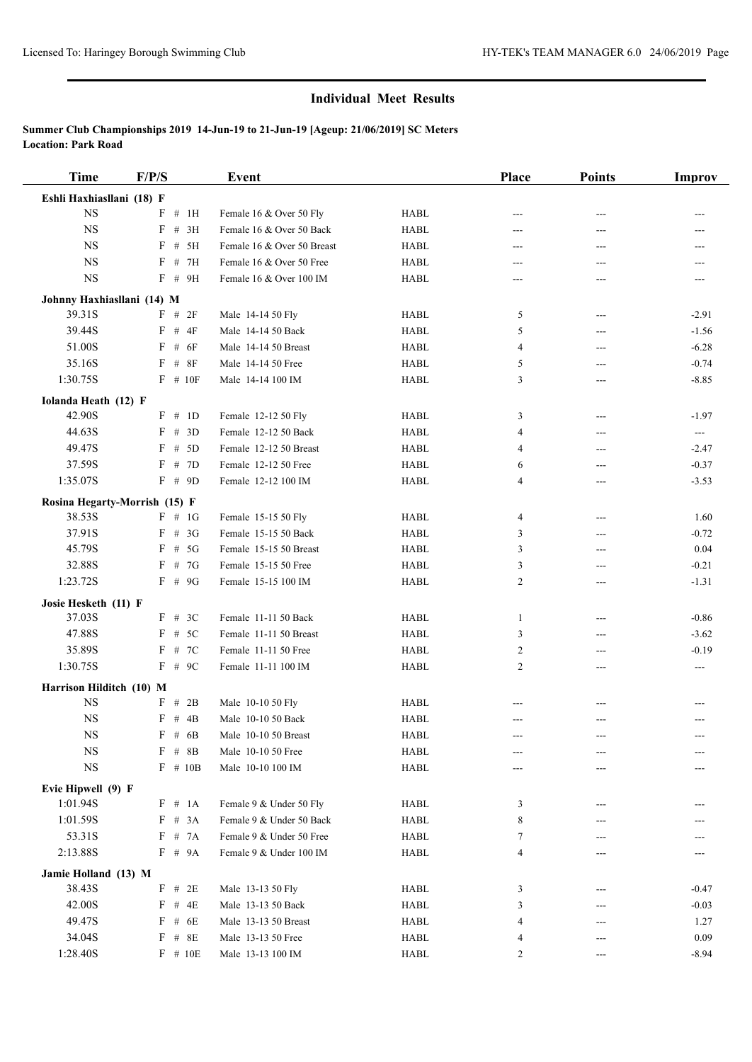| <b>Time</b>                   | F/P/S                | Event                      |             | Place          | <b>Points</b> | Improv                           |
|-------------------------------|----------------------|----------------------------|-------------|----------------|---------------|----------------------------------|
| Eshli Haxhiasllani (18) F     |                      |                            |             |                |               |                                  |
| $_{\rm NS}$                   | $F$ # 1H             | Female 16 & Over 50 Fly    | <b>HABL</b> | ---            | ---           | ---                              |
| <b>NS</b>                     | $F$ # 3H             | Female 16 & Over 50 Back   | <b>HABL</b> | ---            | ---           |                                  |
| <b>NS</b>                     | $F$ # 5H             | Female 16 & Over 50 Breast | <b>HABL</b> | $---$          | ---           |                                  |
| <b>NS</b>                     | $F$ # 7H             | Female 16 & Over 50 Free   | <b>HABL</b> | ---            | ---           |                                  |
| <b>NS</b>                     | $F$ # 9H             | Female 16 & Over 100 IM    | <b>HABL</b> | $---$          | ---           | $---$                            |
| Johnny Haxhiasllani (14) M    |                      |                            |             |                |               |                                  |
| 39.31S                        | F # 2F               | Male 14-14 50 Fly          | <b>HABL</b> | 5              | $---$         | $-2.91$                          |
| 39.44S                        | F # 4F               | Male 14-14 50 Back         | <b>HABL</b> | 5              | ---           | $-1.56$                          |
| 51.00S                        | $F$ # 6F             | Male 14-14 50 Breast       | <b>HABL</b> | 4              | ---           | $-6.28$                          |
| 35.16S                        | $F$ # 8F             | Male 14-14 50 Free         | <b>HABL</b> | 5              | ---           | $-0.74$                          |
| 1:30.75S                      | $F$ # 10F            | Male 14-14 100 IM          | <b>HABL</b> | 3              | ---           | $-8.85$                          |
| Iolanda Heath (12) F          |                      |                            |             |                |               |                                  |
| 42.90S                        | F # 1D               | Female 12-12 50 Fly        | <b>HABL</b> | 3              | ---           | $-1.97$                          |
| 44.63S                        | $F$ # 3D             | Female 12-12 50 Back       | <b>HABL</b> | $\overline{4}$ | $---$         | $\qquad \qquad -\qquad \qquad -$ |
| 49.47S                        | $F$ # 5D             | Female 12-12 50 Breast     | <b>HABL</b> | 4              | ---           | $-2.47$                          |
| 37.59S                        | F # 7D               | Female 12-12 50 Free       | <b>HABL</b> | 6              | ---           | $-0.37$                          |
| 1:35.07S                      | $F$ # 9D             | Female 12-12 100 IM        | <b>HABL</b> | 4              | ---           | $-3.53$                          |
| Rosina Hegarty-Morrish (15) F |                      |                            |             |                |               |                                  |
| 38.53S                        | $F \# 1G$            | Female 15-15 50 Fly        | <b>HABL</b> | 4              | ---           | 1.60                             |
| 37.91S                        | $F$ # 3G             | Female 15-15 50 Back       | <b>HABL</b> | 3              | ---           | $-0.72$                          |
| 45.79S                        | $F$ # 5G             | Female 15-15 50 Breast     | <b>HABL</b> | 3              | $---$         | 0.04                             |
| 32.88S                        | $F$ # 7G             | Female 15-15 50 Free       | <b>HABL</b> | 3              | ---           | $-0.21$                          |
| 1:23.72S                      | $F$ # 9G             | Female 15-15 100 IM        | <b>HABL</b> | $\overline{2}$ | ---           | $-1.31$                          |
| Josie Hesketh (11) F          |                      |                            |             |                |               |                                  |
| 37.03S                        | $F$ # 3C             | Female 11-11 50 Back       | <b>HABL</b> | 1              | ---           | $-0.86$                          |
| 47.88S                        | $F$ # 5C             | Female 11-11 50 Breast     | <b>HABL</b> | 3              | ---           | $-3.62$                          |
| 35.89S                        | $F$ # 7C             | Female 11-11 50 Free       | <b>HABL</b> | 2              | ---           | $-0.19$                          |
| 1:30.75S                      | $F$ # 9C             | Female 11-11 100 IM        | <b>HABL</b> | 2              | ---           | $---$                            |
| Harrison Hilditch (10) M      |                      |                            |             |                |               |                                  |
| <b>NS</b>                     | $F$ # 2B             | Male 10-10 50 Fly          | <b>HABL</b> |                |               |                                  |
| <b>NS</b>                     | $F \# 4B$            | Male 10-10 50 Back         | <b>HABL</b> | ---            |               | ---                              |
| $_{\rm NS}$                   | F # 6B               | Male 10-10 50 Breast       | <b>HABL</b> | ---            |               | ---                              |
| <b>NS</b>                     | $_{\rm F}$<br>$#$ 8B | Male 10-10 50 Free         | <b>HABL</b> | ---            | ---           | ---                              |
| $_{\rm NS}$                   | $F$ # 10B            | Male 10-10 100 IM          | <b>HABL</b> |                |               |                                  |
| Evie Hipwell (9) F            |                      |                            |             |                |               |                                  |
| 1:01.94S                      | F # 1A               | Female 9 & Under 50 Fly    | HABL        | 3              |               |                                  |
| 1:01.59S                      | F # 3A               | Female 9 & Under 50 Back   | <b>HABL</b> | 8              |               |                                  |
| 53.31S                        | $F$ # 7A             | Female 9 & Under 50 Free   | <b>HABL</b> | 7              |               |                                  |
| 2:13.88S                      | F # 9A               | Female 9 & Under 100 IM    | <b>HABL</b> | 4              |               |                                  |
| Jamie Holland (13) M          |                      |                            |             |                |               |                                  |
| 38.43S                        | $F$ # 2E             | Male 13-13 50 Fly          | <b>HABL</b> | 3              |               | $-0.47$                          |
| 42.00S                        | $F$ # 4E             | Male 13-13 50 Back         | <b>HABL</b> | 3              | ---           | $-0.03$                          |
| 49.47S                        | $F$ # 6E             | Male 13-13 50 Breast       | <b>HABL</b> | 4              |               | 1.27                             |
| 34.04S                        | $F$ # 8E             | Male 13-13 50 Free         | HABL        | 4              |               | 0.09                             |
| 1:28.40S                      | $F$ # 10E            | Male 13-13 100 IM          | HABL        | 2              | ---           | $-8.94$                          |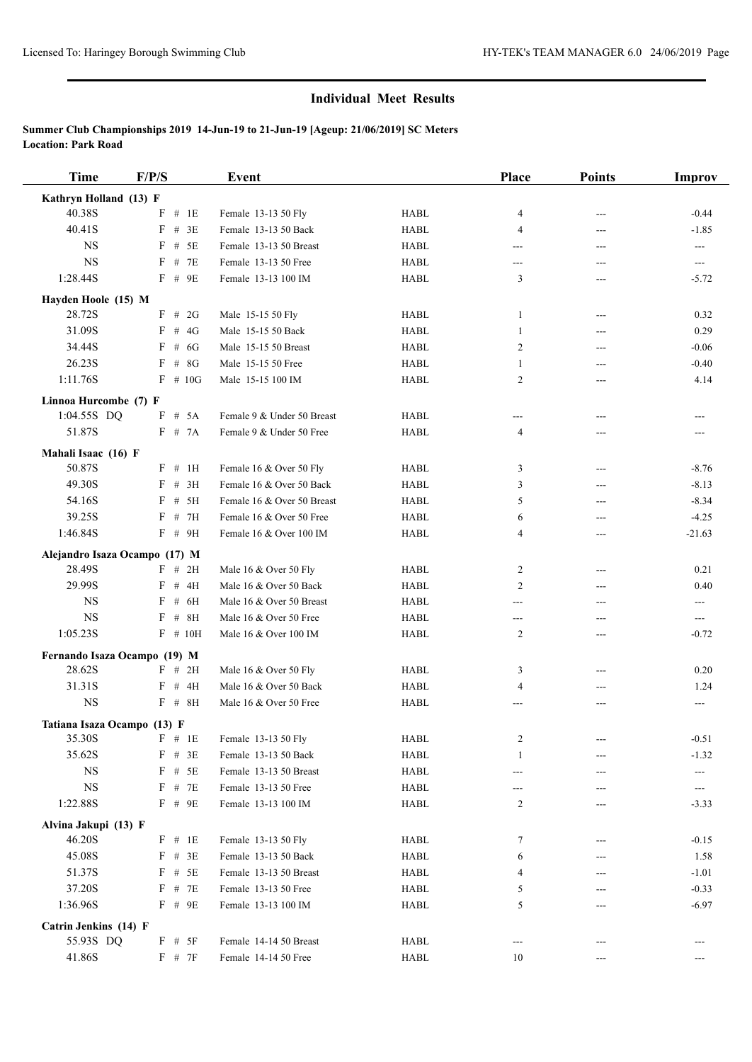| <b>Time</b>                   | F/P/S       | Event                      |             | Place          | <b>Points</b> | <b>Improv</b>              |
|-------------------------------|-------------|----------------------------|-------------|----------------|---------------|----------------------------|
| Kathryn Holland (13) F        |             |                            |             |                |               |                            |
| 40.38S                        | $F$ # 1E    | Female 13-13 50 Fly        | <b>HABL</b> | 4              | $---$         | $-0.44$                    |
| 40.41S                        | $F$ # 3E    | Female 13-13 50 Back       | <b>HABL</b> | $\overline{4}$ | ---           | $-1.85$                    |
| <b>NS</b>                     | $F$ # 5E    | Female 13-13 50 Breast     | <b>HABL</b> | $---$          | $---$         | $\overline{\phantom{a}}$   |
| <b>NS</b>                     | $F$ # 7E    | Female 13-13 50 Free       | <b>HABL</b> | ---            | ---           | $---$                      |
| 1:28.44S                      | $F$ # 9E    | Female 13-13 100 IM        | <b>HABL</b> | 3              | ---           | $-5.72$                    |
| Hayden Hoole (15) M           |             |                            |             |                |               |                            |
| 28.72S                        | $F$ # 2G    | Male 15-15 50 Fly          | <b>HABL</b> | 1              | ---           | 0.32                       |
| 31.09S                        | $F$ # 4G    | Male 15-15 50 Back         | <b>HABL</b> | 1              | ---           | 0.29                       |
| 34.44S                        | $F$ # 6G    | Male 15-15 50 Breast       | <b>HABL</b> | $\overline{c}$ | ---           | $-0.06$                    |
| 26.23S                        | # $8G$<br>F | Male 15-15 50 Free         | <b>HABL</b> | 1              | $---$         | $-0.40$                    |
| 1:11.76S                      | $F$ # 10G   | Male 15-15 100 IM          | <b>HABL</b> | 2              | ---           | 4.14                       |
| Linnoa Hurcombe (7) F         |             |                            |             |                |               |                            |
| 1:04.55S DQ                   | $F$ # 5A    | Female 9 & Under 50 Breast | <b>HABL</b> | ---            | ---           | ---                        |
| 51.87S                        | F # 7A      | Female 9 & Under 50 Free   | <b>HABL</b> | $\overline{4}$ | $---$         | ---                        |
| Mahali Isaac (16) F           |             |                            |             |                |               |                            |
| 50.87S                        | $F$ # 1H    | Female 16 & Over 50 Fly    | <b>HABL</b> | 3              | ---           | $-8.76$                    |
| 49.30S                        | $F$ # 3H    | Female 16 & Over 50 Back   | <b>HABL</b> | 3              | ---           | $-8.13$                    |
| 54.16S                        | $F$ # 5H    | Female 16 & Over 50 Breast | <b>HABL</b> | 5              | ---           | $-8.34$                    |
| 39.25S                        | $F$ # 7H    | Female 16 & Over 50 Free   | <b>HABL</b> | 6              | ---           | $-4.25$                    |
| 1:46.84S                      | $F$ # 9H    | Female 16 & Over 100 IM    | <b>HABL</b> | 4              | ---           | $-21.63$                   |
| Alejandro Isaza Ocampo (17) M |             |                            |             |                |               |                            |
| 28.49S                        | $F$ # 2H    | Male 16 & Over 50 Fly      | <b>HABL</b> | 2              | $---$         | 0.21                       |
| 29.99S                        | $F$ # 4H    | Male 16 & Over 50 Back     | <b>HABL</b> | 2              | ---           | 0.40                       |
| <b>NS</b>                     | $F$ # 6H    | Male 16 & Over 50 Breast   | <b>HABL</b> | ---            | ---           | $\qquad \qquad - -$        |
| <b>NS</b>                     | $F$ # $8H$  | Male 16 & Over 50 Free     | <b>HABL</b> | ---            | ---           | $\cdots$                   |
| 1:05.23S                      | $F$ # 10H   | Male 16 & Over 100 IM      | <b>HABL</b> | $\overline{c}$ | ---           | $-0.72$                    |
| Fernando Isaza Ocampo (19) M  |             |                            |             |                |               |                            |
| 28.62S                        | $F$ # 2H    | Male 16 & Over 50 Fly      | <b>HABL</b> | 3              | $---$         | 0.20                       |
| 31.31S                        | $F$ # 4H    | Male 16 & Over 50 Back     | <b>HABL</b> | 4              | ---           | 1.24                       |
| <b>NS</b>                     | $F$ # $8H$  | Male 16 & Over 50 Free     | <b>HABL</b> | ---            | ---           | $\qquad \qquad \text{---}$ |
| Tatiana Isaza Ocampo (13) F   |             |                            |             |                |               |                            |
| 35.30S                        | $F$ # 1E    | Female 13-13 50 Fly        | <b>HABL</b> | 2              | ---           | $-0.51$                    |
| 35.62S                        | $F$ # 3E    | Female 13-13 50 Back       | <b>HABL</b> | 1              | ---           | $-1.32$                    |
| $_{\rm NS}$                   | $F$ # $5E$  | Female 13-13 50 Breast     | HABL        | $---$          | ---           | ---                        |
| $_{\rm NS}$                   | $F$ # 7E    | Female 13-13 50 Free       | HABL        | ---            |               | ---                        |
| 1:22.88S                      | F # 9E      | Female 13-13 100 IM        | HABL        | 2              | ---           | $-3.33$                    |
| Alvina Jakupi (13) F          |             |                            |             |                |               |                            |
| 46.20S                        | $F$ # 1E    | Female 13-13 50 Fly        | HABL        | 7              | ---           | $-0.15$                    |
| 45.08S                        | $F$ # 3E    | Female 13-13 50 Back       | HABL        | 6              | ---           | 1.58                       |
| 51.37S                        | $F$ # $5E$  | Female 13-13 50 Breast     | HABL        | 4              | ---           | $-1.01$                    |
| 37.20S                        | $F$ # 7E    | Female 13-13 50 Free       | <b>HABL</b> | 5              | ---           | $-0.33$                    |
| 1:36.96S                      | F # 9E      | Female 13-13 100 IM        | HABL        | 5              | ---           | $-6.97$                    |
| Catrin Jenkins (14) F         |             |                            |             |                |               |                            |
| 55.93S DQ                     | F # 5F      | Female 14-14 50 Breast     | HABL        | ---            |               |                            |
| 41.86S                        | $F$ # $7F$  | Female 14-14 50 Free       | HABL        | 10             | ---           | ---                        |
|                               |             |                            |             |                |               |                            |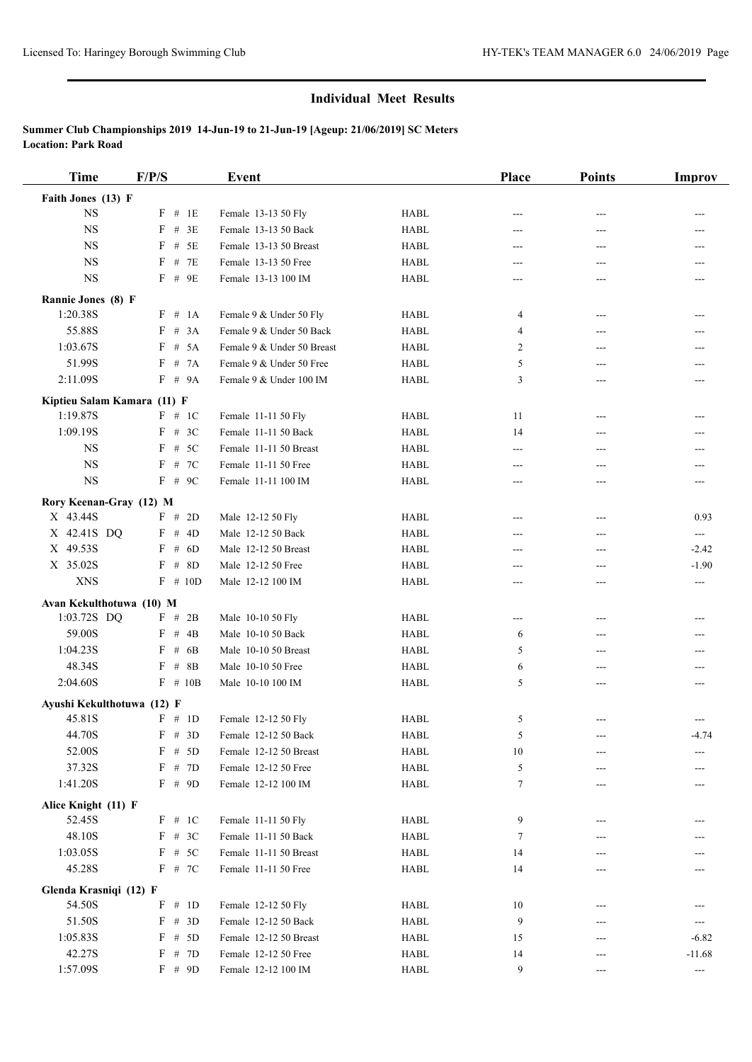| <b>Time</b>                          | F/P/S            | Event                                          |                            | <b>Place</b> | <b>Points</b> | <b>Improv</b>              |
|--------------------------------------|------------------|------------------------------------------------|----------------------------|--------------|---------------|----------------------------|
| Faith Jones (13) F                   |                  |                                                |                            |              |               |                            |
| <b>NS</b>                            | $F$ # 1E         | Female 13-13 50 Fly                            | <b>HABL</b>                | $---$        | ---           | ---                        |
| <b>NS</b>                            | $F$ # 3E         | Female 13-13 50 Back                           | <b>HABL</b>                | $---$        | ---           | ---                        |
| <b>NS</b>                            | $F$ # 5E         | Female 13-13 50 Breast                         | <b>HABL</b>                | ---          | ---           | ---                        |
| <b>NS</b>                            | F<br># 7E        | Female 13-13 50 Free                           | <b>HABL</b>                | ---          | $---$         |                            |
| <b>NS</b>                            | $F$ # 9E         | Female 13-13 100 IM                            | <b>HABL</b>                | ---          | ---           |                            |
| Rannie Jones (8) F                   |                  |                                                |                            |              |               |                            |
| 1:20.38S                             | F # 1A           | Female 9 & Under 50 Fly                        | <b>HABL</b>                | 4            | ---           | ---                        |
| 55.88S                               | F # 3A           | Female 9 & Under 50 Back                       | <b>HABL</b>                | 4            | ---           | ---                        |
| 1:03.67S                             | $F$ # 5A         | Female 9 & Under 50 Breast                     | <b>HABL</b>                | 2            | ---           | ---                        |
| 51.99S                               | F # 7A           | Female 9 & Under 50 Free                       | <b>HABL</b>                | 5            | ---           | ---                        |
| 2:11.09S                             | $F$ # 9A         | Female 9 & Under 100 IM                        | <b>HABL</b>                | 3            | ---           | ---                        |
| Kiptieu Salam Kamara (11) F          |                  |                                                |                            |              |               |                            |
| 1:19.87S                             | F # 1C           | Female 11-11 50 Fly                            | <b>HABL</b>                | 11           | $---$         | ---                        |
| 1:09.19S                             | $F$ # 3C         | Female 11-11 50 Back                           | <b>HABL</b>                | 14           | ---           |                            |
| <b>NS</b>                            | $F$ # 5C         | Female 11-11 50 Breast                         | <b>HABL</b>                | ---          | $---$         |                            |
| <b>NS</b>                            | F # 7C           | Female 11-11 50 Free                           | <b>HABL</b>                | $---$        | ---           | ---                        |
| <b>NS</b>                            | $F$ # 9C         | Female 11-11 100 IM                            | <b>HABL</b>                | $---$        | ---           | ---                        |
| Rory Keenan-Gray (12) M              |                  |                                                |                            |              |               |                            |
| X 43.44S                             | F # 2D           | Male 12-12 50 Fly                              | <b>HABL</b>                | ---          | ---           | 0.93                       |
| X 42.41S DQ                          | F # 4D           | Male 12-12 50 Back                             | <b>HABL</b>                | ---          | ---           | $\qquad \qquad \cdots$     |
| X 49.53S                             | F # 6D           | Male 12-12 50 Breast                           | <b>HABL</b>                | ---          | ---           | $-2.42$                    |
| X 35.02S                             | $F$ # 8D         | Male 12-12 50 Free                             | <b>HABL</b>                | ---          | ---           | $-1.90$                    |
| <b>XNS</b>                           | $F \# 10D$       | Male 12-12 100 IM                              | <b>HABL</b>                | ---          | ---           | $\qquad \qquad \text{---}$ |
| Avan Kekulthotuwa (10) M             |                  |                                                |                            |              |               |                            |
| 1:03.72S DQ                          | $F$ # 2B         | Male 10-10 50 Fly                              | <b>HABL</b>                | ---          | ---           |                            |
| 59.00S                               | F # 4B           | Male 10-10 50 Back                             | <b>HABL</b>                | 6            | ---           | ---                        |
| 1:04.23S                             | $F$ # 6B         | Male 10-10 50 Breast                           | <b>HABL</b>                | 5            | ---           | ---                        |
| 48.34S                               | # $8B$<br>F      | Male 10-10 50 Free                             | <b>HABL</b>                | 6            | ---           | ---                        |
| 2:04.60S                             | $F \# 10B$       | Male 10-10 100 IM                              | <b>HABL</b>                | 5            | $---$         | $---$                      |
|                                      |                  |                                                |                            |              |               |                            |
| Ayushi Kekulthotuwa (12) F<br>45.81S | F # 1D           | Female 12-12 50 Fly                            | <b>HABL</b>                | 5            | ---           |                            |
| 44.70S                               | $F$ # 3D         | Female 12-12 50 Back                           | <b>HABL</b>                |              |               |                            |
|                                      |                  |                                                |                            | 5            | ---           | $-4.74$                    |
| 52.00S<br>37.32S                     | F # 5D<br>F # 7D | Female 12-12 50 Breast<br>Female 12-12 50 Free | HABL                       | 10           | ---           |                            |
| 1:41.20S                             | F # 9D           | Female 12-12 100 IM                            | <b>HABL</b><br><b>HABL</b> | 5<br>7       | ---           |                            |
|                                      |                  |                                                |                            |              |               |                            |
| Alice Knight (11) F                  |                  |                                                |                            |              |               |                            |
| 52.45S                               | F # 1C           | Female 11-11 50 Fly                            | <b>HABL</b>                | 9            | ---           |                            |
| 48.10S                               | F # 3C           | Female 11-11 50 Back                           | HABL                       | 7            |               |                            |
| 1:03.05S                             | F # 5C           | Female 11-11 50 Breast                         | HABL                       | 14           |               |                            |
| 45.28S                               | F # 7C           | Female 11-11 50 Free                           | <b>HABL</b>                | 14           |               |                            |
| Glenda Krasniqi (12) F               |                  |                                                |                            |              |               |                            |
| 54.50S                               | F # 1D           | Female 12-12 50 Fly                            | HABL                       | 10           |               |                            |
| 51.50S                               | F # 3D           | Female 12-12 50 Back                           | HABL                       | 9            | ---           | ---                        |
| 1:05.83S                             | F # 5D           | Female 12-12 50 Breast                         | HABL                       | 15           |               | $-6.82$                    |
| 42.27S                               | F # 7D           | Female 12-12 50 Free                           | HABL                       | 14           | ---           | $-11.68$                   |
| 1:57.09S                             | F # 9D           | Female 12-12 100 IM                            | HABL                       | 9            | ---           | $\hspace{0.05cm} \ldots$   |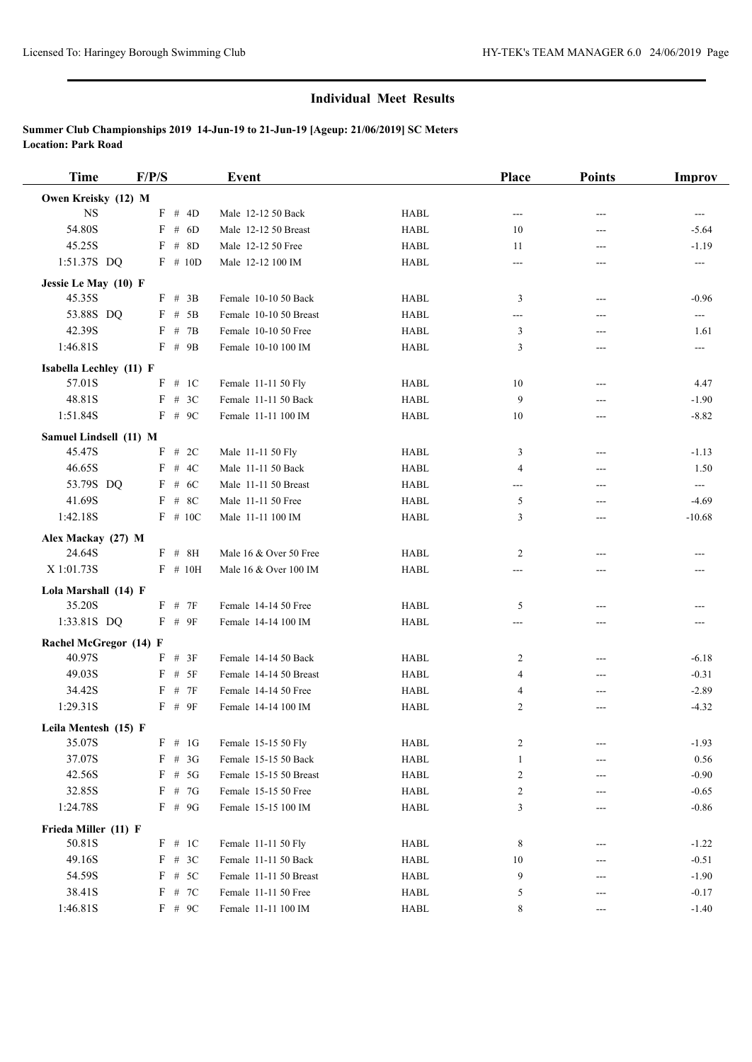| <b>Time</b>             | F/P/S       | Event                  |             | Place          | <b>Points</b> | Improv                    |
|-------------------------|-------------|------------------------|-------------|----------------|---------------|---------------------------|
| Owen Kreisky (12) M     |             |                        |             |                |               |                           |
| <b>NS</b>               | F # 4D      | Male 12-12 50 Back     | <b>HABL</b> | ---            | ---           | $---$                     |
| 54.80S                  | # $6D$<br>F | Male 12-12 50 Breast   | <b>HABL</b> | 10             | ---           | $-5.64$                   |
| 45.25S                  | $F$ # 8D    | Male 12-12 50 Free     | <b>HABL</b> | 11             | $---$         | $-1.19$                   |
| 1:51.37S DQ             | $F$ # 10D   | Male 12-12 100 IM      | <b>HABL</b> | ---            |               | ---                       |
| Jessie Le May (10) F    |             |                        |             |                |               |                           |
| 45.35S                  | $F$ # 3B    | Female 10-10 50 Back   | <b>HABL</b> | 3              | $---$         | $-0.96$                   |
| 53.88S DQ               | $F$ # 5B    | Female 10-10 50 Breast | <b>HABL</b> | ---            | ---           | $\sim$                    |
| 42.39S                  | F # 7B      | Female 10-10 50 Free   | <b>HABL</b> | 3              | ---           | 1.61                      |
| 1:46.81S                | $F$ # 9B    | Female 10-10 100 IM    | <b>HABL</b> | 3              | ---           | $\overline{\phantom{a}}$  |
| Isabella Lechley (11) F |             |                        |             |                |               |                           |
| 57.01S                  | F # 1C      | Female 11-11 50 Fly    | <b>HABL</b> | 10             | $---$         | 4.47                      |
| 48.81S                  | F # 3C      | Female 11-11 50 Back   | <b>HABL</b> | 9              | ---           | $-1.90$                   |
| 1:51.84S                | $F$ # 9C    | Female 11-11 100 IM    | <b>HABL</b> | 10             | ---           | $-8.82$                   |
| Samuel Lindsell (11) M  |             |                        |             |                |               |                           |
| 45.47S                  | F # 2C      | Male 11-11 50 Fly      | <b>HABL</b> | 3              | ---           | $-1.13$                   |
| 46.65S                  | F # 4C      | Male 11-11 50 Back     | <b>HABL</b> | $\overline{4}$ | $---$         | 1.50                      |
| 53.79S DQ               | F # 6C      | Male 11-11 50 Breast   | <b>HABL</b> | ---            | ---           | $\qquad \qquad -\qquad -$ |
| 41.69S                  | $F$ # 8C    | Male 11-11 50 Free     | <b>HABL</b> | 5              | ---           | $-4.69$                   |
| 1:42.18S                | $F$ # 10C   | Male 11-11 100 IM      | <b>HABL</b> | 3              | ---           | $-10.68$                  |
| Alex Mackay (27) M      |             |                        |             |                |               |                           |
| 24.64S                  | $F$ # 8H    | Male 16 & Over 50 Free | <b>HABL</b> | $\overline{c}$ | ---           | ---                       |
| X 1:01.73S              | $F$ # 10H   | Male 16 & Over 100 IM  | <b>HABL</b> | ---            | ---           | ---                       |
| Lola Marshall (14) F    |             |                        |             |                |               |                           |
| 35.20S                  | F # 7F      | Female 14-14 50 Free   | <b>HABL</b> | 5              | ---           | ---                       |
| 1:33.81S DQ             | F # 9F      | Female 14-14 100 IM    | <b>HABL</b> | ---            | ---           | ---                       |
| Rachel McGregor (14) F  |             |                        |             |                |               |                           |
| 40.97S                  | F # 3F      | Female 14-14 50 Back   | <b>HABL</b> | 2              | ---           | $-6.18$                   |
| 49.03S                  | F # 5F      | Female 14-14 50 Breast | <b>HABL</b> | 4              | ---           | $-0.31$                   |
| 34.42S                  | F # 7F      | Female 14-14 50 Free   | <b>HABL</b> | 4              |               | $-2.89$                   |
| 1:29.31S                | F # 9F      | Female 14-14 100 IM    | HABL        | $\overline{c}$ | ---           | $-4.32$                   |
| Leila Mentesh (15) F    |             |                        |             |                |               |                           |
| 35.07S                  | $F$ # 1G    | Female 15-15 50 Fly    | HABL        | $\overline{c}$ |               | $-1.93$                   |
| 37.07S                  | # $3G$<br>F | Female 15-15 50 Back   | HABL        | 1              |               | 0.56                      |
| 42.56S                  | $F$ # 5G    | Female 15-15 50 Breast | HABL        | $\overline{c}$ |               | $-0.90$                   |
| 32.85S                  | F # 7G      | Female 15-15 50 Free   | HABL        | 2              |               | $-0.65$                   |
| 1:24.78S                | F # 9G      | Female 15-15 100 IM    | HABL        | 3              |               | $-0.86$                   |
| Frieda Miller (11) F    |             |                        |             |                |               |                           |
| 50.81S                  | F # 1C      | Female 11-11 50 Fly    | HABL        | 8              |               | $-1.22$                   |
| 49.16S                  | F # 3C      | Female 11-11 50 Back   | HABL        | 10             | ---           | $-0.51$                   |
| 54.59S                  | $F$ # 5C    | Female 11-11 50 Breast | HABL        | 9              |               | $-1.90$                   |
| 38.41S                  | F # 7C      | Female 11-11 50 Free   | HABL        | 5              |               | $-0.17$                   |
| 1:46.81S                | $F$ # 9C    | Female 11-11 100 IM    | HABL        | 8              | ---           | $-1.40$                   |
|                         |             |                        |             |                |               |                           |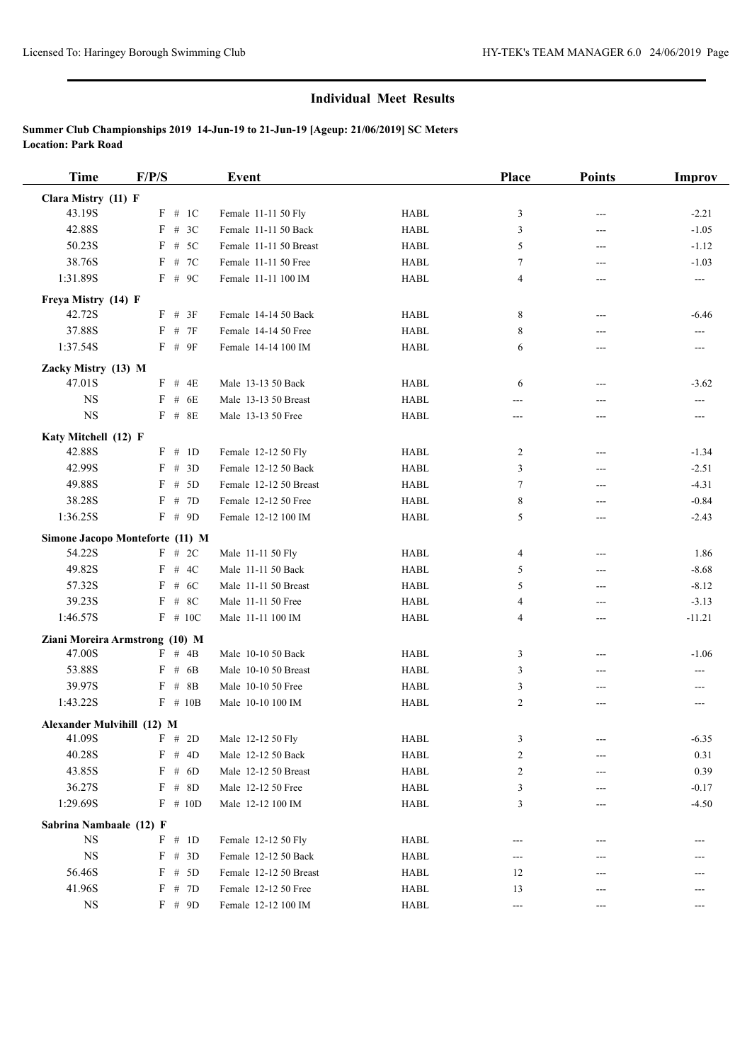| <b>Time</b>                       | F/P/S      | <b>Event</b> |                        |             | Place | <b>Points</b> | Improv   |
|-----------------------------------|------------|--------------|------------------------|-------------|-------|---------------|----------|
| Clara Mistry (11) F               |            |              |                        |             |       |               |          |
| 43.19S                            | F # 1C     |              | Female 11-11 50 Fly    | <b>HABL</b> | 3     | ---           | $-2.21$  |
| 42.88S                            | F          | # $3C$       | Female 11-11 50 Back   | <b>HABL</b> | 3     | ---           | $-1.05$  |
| 50.23S                            | F          | # $5C$       | Female 11-11 50 Breast | <b>HABL</b> | 5     | ---           | $-1.12$  |
| 38.76S                            | F          | # 7C         | Female 11-11 50 Free   | <b>HABL</b> | 7     | ---           | $-1.03$  |
| 1:31.89S                          | $F$ # 9C   |              | Female 11-11 100 IM    | <b>HABL</b> | 4     | ---           | ---      |
| Freya Mistry (14) F               |            |              |                        |             |       |               |          |
| 42.72S                            | $F$ # 3F   |              | Female 14-14 50 Back   | <b>HABL</b> | 8     | ---           | $-6.46$  |
| 37.88S                            | $F$ # 7F   |              | Female 14-14 50 Free   | <b>HABL</b> | 8     | ---           | ---      |
| 1:37.54S                          | $F$ # 9F   |              | Female 14-14 100 IM    | <b>HABL</b> | 6     | ---           | ---      |
| Zacky Mistry (13) M               |            |              |                        |             |       |               |          |
| 47.01S                            | $F$ # 4E   |              | Male 13-13 50 Back     | <b>HABL</b> | 6     | ---           | $-3.62$  |
| <b>NS</b>                         | $F$ # 6E   |              | Male 13-13 50 Breast   | <b>HABL</b> | ---   | ---           | ---      |
| $_{\rm NS}$                       | $F$ # 8E   |              | Male 13-13 50 Free     | <b>HABL</b> | ---   | ---           | ---      |
|                                   |            |              |                        |             |       |               |          |
| Katy Mitchell (12) F              |            |              |                        |             |       |               |          |
| 42.88S                            | $F \# 1D$  |              | Female 12-12 50 Fly    | <b>HABL</b> | 2     | ---           | $-1.34$  |
| 42.99S                            | F # 3D     |              | Female 12-12 50 Back   | <b>HABL</b> | 3     | ---           | $-2.51$  |
| 49.88S                            | F          | # $5D$       | Female 12-12 50 Breast | <b>HABL</b> | 7     | ---           | $-4.31$  |
| 38.28S                            | F          | # 7D         | Female 12-12 50 Free   | <b>HABL</b> | 8     | ---           | $-0.84$  |
| 1:36.25S                          | $F$ # 9D   |              | Female 12-12 100 IM    | <b>HABL</b> | 5     | ---           | $-2.43$  |
| Simone Jacopo Monteforte (11) M   |            |              |                        |             |       |               |          |
| 54.22S                            | F # 2C     |              | Male 11-11 50 Fly      | <b>HABL</b> | 4     | ---           | 1.86     |
| 49.82S                            | F          | # $4C$       | Male 11-11 50 Back     | <b>HABL</b> | 5     | ---           | $-8.68$  |
| 57.32S                            | F # 6C     |              | Male 11-11 50 Breast   | <b>HABL</b> | 5     | ---           | $-8.12$  |
| 39.23S                            | $_{\rm F}$ | # $8C$       | Male 11-11 50 Free     | <b>HABL</b> | 4     | ---           | $-3.13$  |
| 1:46.57S                          | $F$ # 10C  |              | Male 11-11 100 IM      | <b>HABL</b> | 4     | ---           | $-11.21$ |
| Ziani Moreira Armstrong (10) M    |            |              |                        |             |       |               |          |
| 47.00S                            | $F$ # 4B   |              | Male 10-10 50 Back     | <b>HABL</b> | 3     | ---           | $-1.06$  |
| 53.88S                            | F          | # $6B$       | Male 10-10 50 Breast   | <b>HABL</b> | 3     | ---           | ---      |
| 39.97S                            | $_{\rm F}$ | $#$ 8B       | Male 10-10 50 Free     | <b>HABL</b> | 3     | ---           |          |
| 1:43.22S                          | $F \# 10B$ |              | Male 10-10 100 IM      | <b>HABL</b> | 2     | ---           | ---      |
| <b>Alexander Mulvihill (12) M</b> |            |              |                        |             |       |               |          |
| 41.09S                            | F # 2D     |              | Male 12-12 50 Fly      | HABL        | 3     | ---           | $-6.35$  |
| 40.28S                            | F          | # $4D$       | Male 12-12 50 Back     | <b>HABL</b> | 2     | ---           | 0.31     |
| 43.85S                            | F          | # $6D$       | Male 12-12 50 Breast   | <b>HABL</b> | 2     | ---           | 0.39     |
| 36.27S                            | F          | # $8D$       | Male 12-12 50 Free     | HABL        | 3     |               | $-0.17$  |
| 1:29.69S                          | $F \# 10D$ |              | Male 12-12 100 IM      | HABL        | 3     | ---           | $-4.50$  |
| Sabrina Nambaale (12) F           |            |              |                        |             |       |               |          |
| <b>NS</b>                         | F # 1D     |              | Female 12-12 50 Fly    | <b>HABL</b> |       |               |          |
| <b>NS</b>                         | F # 3D     |              | Female 12-12 50 Back   | <b>HABL</b> |       |               |          |
| 56.46S                            | F          | # 5D         | Female 12-12 50 Breast | <b>HABL</b> | 12    |               |          |
| 41.96S                            | F          | # 7D         | Female 12-12 50 Free   | HABL        | 13    | ---           | ---      |
| <b>NS</b>                         | F # 9D     |              | Female 12-12 100 IM    | <b>HABL</b> | ---   | ---           | ---      |
|                                   |            |              |                        |             |       |               |          |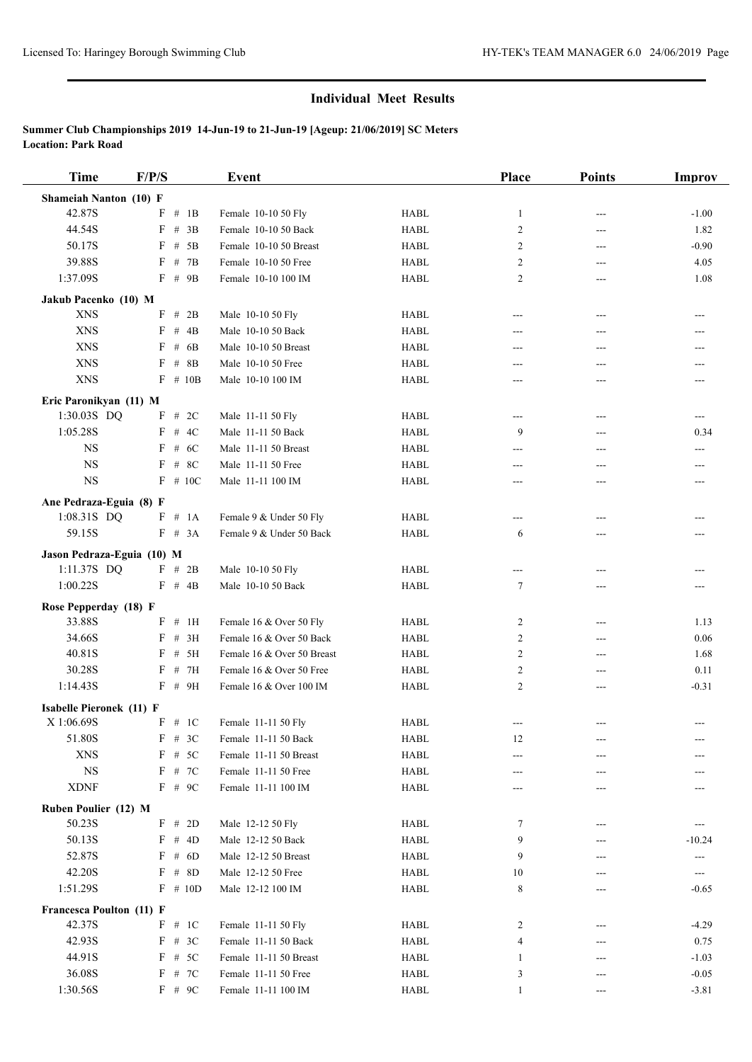| <b>Time</b>                     | F/P/S                    | Event                      |             | Place                      | <b>Points</b> | <b>Improv</b> |
|---------------------------------|--------------------------|----------------------------|-------------|----------------------------|---------------|---------------|
| <b>Shameiah Nanton (10) F</b>   |                          |                            |             |                            |               |               |
| 42.87S                          | $#$ 1B<br>F              | Female 10-10 50 Fly        | <b>HABL</b> | $\mathbf{1}$               | ---           | $-1.00$       |
| 44.54S                          | # $3B$<br>F              | Female 10-10 50 Back       | <b>HABL</b> | $\overline{c}$             | ---           | 1.82          |
| 50.17S                          | $F$ # 5B                 | Female 10-10 50 Breast     | <b>HABL</b> | 2                          | ---           | $-0.90$       |
| 39.88S                          | # $7B$<br>F              | Female 10-10 50 Free       | <b>HABL</b> | 2                          | $---$         | 4.05          |
| 1:37.09S                        | $F$ # 9B                 | Female 10-10 100 IM        | <b>HABL</b> | 2                          | ---           | 1.08          |
| Jakub Pacenko (10) M            |                          |                            |             |                            |               |               |
| <b>XNS</b>                      | $F$ # 2B                 | Male 10-10 50 Fly          | <b>HABL</b> | ---                        | ---           | ---           |
| <b>XNS</b>                      | # $4B$<br>F              | Male 10-10 50 Back         | <b>HABL</b> | ---                        | ---           | ---           |
| <b>XNS</b>                      | #<br>6 <sub>B</sub><br>F | Male 10-10 50 Breast       | <b>HABL</b> | ---                        | ---           | ---           |
| <b>XNS</b>                      | $\#$<br>F<br>8B          | Male 10-10 50 Free         | <b>HABL</b> | ---                        | ---           | ---           |
| <b>XNS</b>                      | $F$ # 10B                | Male 10-10 100 IM          | <b>HABL</b> | $---$                      | ---           | $---$         |
| Eric Paronikyan (11) M          |                          |                            |             |                            |               |               |
| 1:30.03S DQ                     | # $2C$<br>F              | Male 11-11 50 Fly          | <b>HABL</b> | $---$                      | $---$         | ---           |
| 1:05.28S                        | $\#$<br>F<br>4C          | Male 11-11 50 Back         | <b>HABL</b> | 9                          | ---           | 0.34          |
| <b>NS</b>                       | #<br>6C<br>F             | Male 11-11 50 Breast       | <b>HABL</b> | ---                        | ---           | ---           |
| <b>NS</b>                       | # $8C$<br>F              | Male 11-11 50 Free         | <b>HABL</b> | ---                        | ---           | ---           |
| <b>NS</b>                       | $F$ # 10C                | Male 11-11 100 IM          | <b>HABL</b> | $\qquad \qquad \text{---}$ | ---           | ---           |
| Ane Pedraza-Eguia (8) F         |                          |                            |             |                            |               |               |
| 1:08.31S DQ                     | F # 1A                   | Female 9 & Under 50 Fly    | <b>HABL</b> | $\qquad \qquad \text{---}$ | ---           | ---           |
| 59.15S                          | F # 3A                   | Female 9 & Under 50 Back   | <b>HABL</b> | 6                          | ---           |               |
| Jason Pedraza-Eguia (10) M      |                          |                            |             |                            |               |               |
| 1:11.37S DQ                     | # $2B$<br>F              | Male 10-10 50 Fly          | <b>HABL</b> | ---                        | $---$         | ---           |
| 1:00.22S                        | $F$ # 4B                 | Male 10-10 50 Back         | <b>HABL</b> | 7                          |               |               |
| Rose Pepperday (18) F           |                          |                            |             |                            |               |               |
| 33.88S                          | $\#$<br>1H<br>F          | Female 16 & Over 50 Fly    | <b>HABL</b> | $\overline{c}$             | ---           | 1.13          |
| 34.66S                          | # 3H<br>F                | Female 16 & Over 50 Back   | <b>HABL</b> | $\overline{c}$             | ---           | 0.06          |
| 40.81S                          | $F$ # 5H                 | Female 16 & Over 50 Breast | <b>HABL</b> | $\overline{c}$             | ---           | 1.68          |
| 30.28S                          | $F$ # 7H                 | Female 16 & Over 50 Free   | <b>HABL</b> | 2                          | ---           | 0.11          |
| 1:14.43S                        | F # 9H                   | Female 16 & Over 100 IM    | <b>HABL</b> | 2                          | $---$         | $-0.31$       |
| <b>Isabelle Pieronek (11) F</b> |                          |                            |             |                            |               |               |
| X 1:06.69S                      | F # 1C                   | Female 11-11 50 Fly        | <b>HABL</b> | $---$                      | ---           | $---$         |
| 51.80S                          | # $3C$<br>F              | Female 11-11 50 Back       | <b>HABL</b> | 12                         |               |               |
| <b>XNS</b>                      | $F$ # 5C                 | Female 11-11 50 Breast     | <b>HABL</b> |                            |               |               |
| <b>NS</b>                       | # 7C<br>F                | Female 11-11 50 Free       | <b>HABL</b> | ---                        | ---           |               |
| <b>XDNF</b>                     | $F$ # 9C                 | Female 11-11 100 IM        | <b>HABL</b> | ---                        |               |               |
| Ruben Poulier (12) M            |                          |                            |             |                            |               |               |
| 50.23S                          | F # 2D                   | Male 12-12 50 Fly          | HABL        | 7                          |               | ---           |
| 50.13S                          | $F$ # 4D                 | Male 12-12 50 Back         | <b>HABL</b> | 9                          | ---           | $-10.24$      |
| 52.87S                          | F<br># $6D$              | Male 12-12 50 Breast       | <b>HABL</b> | 9                          |               | ---           |
| 42.20S                          | # $8D$<br>F              | Male 12-12 50 Free         | <b>HABL</b> | 10                         |               | ---           |
| 1:51.29S                        | $F \# 10D$               | Male 12-12 100 IM          | HABL        | 8                          | ---           | $-0.65$       |
| Francesca Poulton (11) F        |                          |                            |             |                            |               |               |
| 42.37S                          | F<br># 1C                | Female 11-11 50 Fly        | <b>HABL</b> | 2                          | ---           | -4.29         |
| 42.93S                          | F # 3C                   | Female 11-11 50 Back       | <b>HABL</b> | 4                          |               | 0.75          |
| 44.91S                          | $F$ # 5C                 | Female 11-11 50 Breast     | HABL        | 1                          | ---           | $-1.03$       |
| 36.08S                          | F # 7C                   | Female 11-11 50 Free       | <b>HABL</b> | 3                          | ---           | $-0.05$       |
| 1:30.56S                        | F # 9C                   | Female 11-11 100 IM        | HABL        | $\mathbf{1}$               | ---           | $-3.81$       |
|                                 |                          |                            |             |                            |               |               |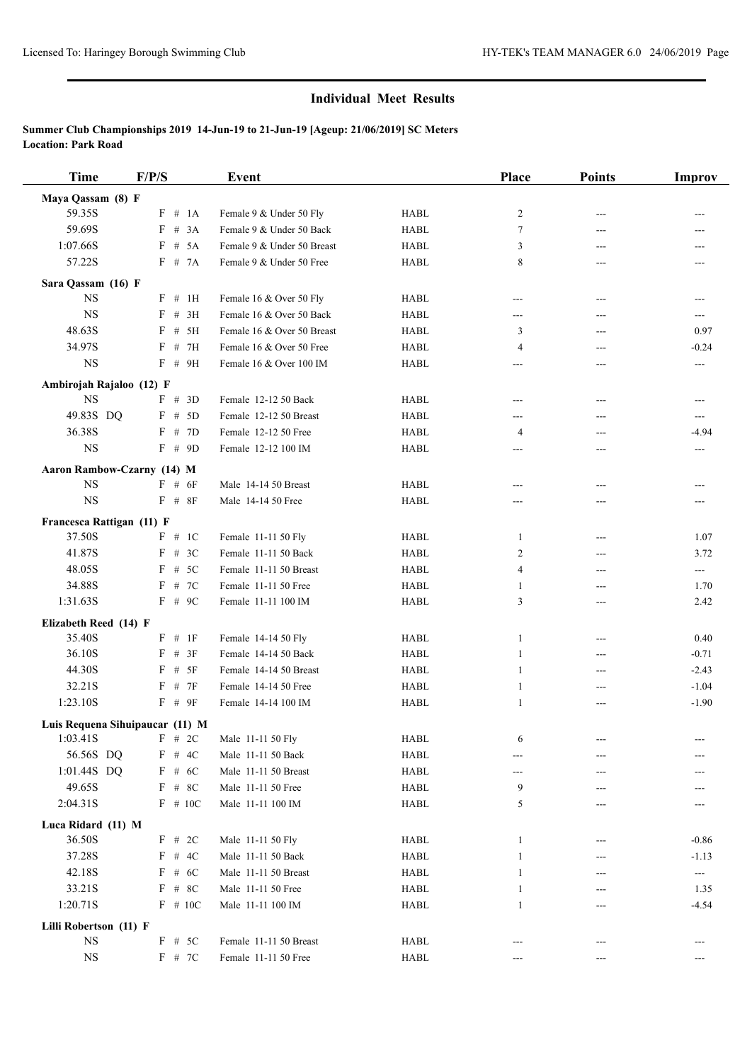| <b>Time</b>                                 | F/P/S            | Event                                       |                                | Place          | <b>Points</b> | <b>Improv</b>           |
|---------------------------------------------|------------------|---------------------------------------------|--------------------------------|----------------|---------------|-------------------------|
| Maya Qassam (8) F                           |                  |                                             |                                |                |               |                         |
| 59.35S                                      | $#$ 1A<br>F      | Female 9 & Under 50 Fly                     | <b>HABL</b>                    | 2              | ---           | ---                     |
| 59.69S                                      | $\#$<br>3A<br>F  | Female 9 & Under 50 Back                    | <b>HABL</b>                    | $\tau$         | ---           | ---                     |
| 1:07.66S                                    | # 5A<br>F        | Female 9 & Under 50 Breast                  | <b>HABL</b>                    | 3              | ---           |                         |
| 57.22S                                      | F # 7A           | Female 9 & Under 50 Free                    | <b>HABL</b>                    | 8              | ---           |                         |
| Sara Qassam (16) F                          |                  |                                             |                                |                |               |                         |
| <b>NS</b>                                   | $F$ # 1H         | Female 16 & Over 50 Fly                     | <b>HABL</b>                    | ---            | ---           | ---                     |
| <b>NS</b>                                   | $F$ # 3H         | Female 16 & Over 50 Back                    | <b>HABL</b>                    | ---            | ---           | ---                     |
| 48.63S                                      | # 5H<br>F        | Female 16 & Over 50 Breast                  | <b>HABL</b>                    | 3              | ---           | 0.97                    |
| 34.97S                                      | $\#$<br>F<br>7H  | Female 16 & Over 50 Free                    | <b>HABL</b>                    | 4              | ---           | $-0.24$                 |
| <b>NS</b>                                   | $F$ # 9H         | Female 16 & Over 100 IM                     | <b>HABL</b>                    | ---            | ---           | $\qquad \qquad -\qquad$ |
| Ambirojah Rajaloo (12) F                    |                  |                                             |                                |                |               |                         |
| <b>NS</b>                                   | F # 3D           | Female 12-12 50 Back                        | <b>HABL</b>                    | ---            | ---           | ---                     |
| 49.83S DQ                                   | $F$ # 5D         | Female 12-12 50 Breast                      | <b>HABL</b>                    | ---            | ---           | ---                     |
| 36.38S                                      | # 7D<br>F        | Female 12-12 50 Free                        | <b>HABL</b>                    | $\overline{4}$ | ---           | $-4.94$                 |
| <b>NS</b>                                   | $F$ # 9D         | Female 12-12 100 IM                         | <b>HABL</b>                    | ---            | ---           | ---                     |
| Aaron Rambow-Czarny (14) M                  |                  |                                             |                                |                |               |                         |
| <b>NS</b>                                   | F # 6F           | Male 14-14 50 Breast                        | <b>HABL</b>                    | ---            | ---           |                         |
| <b>NS</b>                                   | $F$ # 8F         | Male 14-14 50 Free                          | <b>HABL</b>                    | $---$          | ---           | ---                     |
|                                             |                  |                                             |                                |                |               |                         |
| Francesca Rattigan (11) F<br>37.50S         | F # 1C           |                                             | <b>HABL</b>                    | 1              | ---           | 1.07                    |
| 41.87S                                      | # $3C$<br>F      | Female 11-11 50 Fly<br>Female 11-11 50 Back | <b>HABL</b>                    | $\overline{c}$ | ---           | 3.72                    |
| 48.05S                                      | $\#$<br>5C<br>F  | Female 11-11 50 Breast                      | <b>HABL</b>                    | $\overline{4}$ | ---           | ---                     |
| 34.88S                                      | F<br>#<br>7C     | Female 11-11 50 Free                        | <b>HABL</b>                    | 1              | ---           | 1.70                    |
| 1:31.63S                                    | $F$ # 9C         | Female 11-11 100 IM                         | <b>HABL</b>                    | $\mathfrak{Z}$ | ---           | 2.42                    |
|                                             |                  |                                             |                                |                |               |                         |
| Elizabeth Reed (14) F<br>35.40S             | # 1F<br>F        |                                             | <b>HABL</b>                    | $\mathbf{1}$   |               | 0.40                    |
| 36.10S                                      | # $3F$<br>F      | Female 14-14 50 Fly<br>Female 14-14 50 Back | <b>HABL</b>                    | 1              | ---<br>---    | $-0.71$                 |
| 44.30S                                      | # $5F$<br>F      | Female 14-14 50 Breast                      | <b>HABL</b>                    | $\mathbf{1}$   | ---           | $-2.43$                 |
| 32.21S                                      | F # 7F           | Female 14-14 50 Free                        | <b>HABL</b>                    | $\mathbf{1}$   | ---           | $-1.04$                 |
| 1:23.10S                                    | $F \# 9F$        | Female 14-14 100 IM                         | <b>HABL</b>                    | $\mathbf{1}$   | ---           | $-1.90$                 |
|                                             |                  |                                             |                                |                |               |                         |
| Luis Requena Sihuipaucar (11) M<br>1:03.41S |                  |                                             |                                |                |               |                         |
| 56.56S DQ                                   | F # 2C<br>F # 4C | Male 11-11 50 Fly<br>Male 11-11 50 Back     | <b>HABL</b><br>HABL            | 6              | ---           | ---                     |
| 1:01.44S DQ                                 | # $6C$<br>F      | Male 11-11 50 Breast                        | ${\rm H}{\bf A}{\bf B}{\bf L}$ | ---<br>---     |               |                         |
| 49.65S                                      | # $8C$<br>F      | Male 11-11 50 Free                          | HABL                           | 9              |               |                         |
| 2:04.31S                                    | $F \# 10C$       | Male 11-11 100 IM                           | HABL                           | 5              |               |                         |
|                                             |                  |                                             |                                |                |               |                         |
| Luca Ridard (11) M<br>36.50S                | $F$ # 2C         |                                             |                                |                |               |                         |
| 37.28S                                      | F # 4C           | Male 11-11 50 Fly<br>Male 11-11 50 Back     | HABL                           | 1<br>1         |               | $-0.86$                 |
| 42.18S                                      | F<br># $6C$      | Male 11-11 50 Breast                        | HABL<br>HABL                   | 1              | ---           | $-1.13$<br>---          |
| 33.21S                                      | # $8C$<br>F      | Male 11-11 50 Free                          | <b>HABL</b>                    | 1              |               | 1.35                    |
| 1:20.71S                                    | $F \# 10C$       | Male 11-11 100 IM                           | HABL                           | 1              | ---           | $-4.54$                 |
|                                             |                  |                                             |                                |                |               |                         |
| Lilli Robertson (11) F                      |                  |                                             |                                |                |               |                         |
| $_{\rm NS}$                                 | F<br># $5C$      | Female 11-11 50 Breast                      | <b>HABL</b>                    |                |               |                         |
| <b>NS</b>                                   | $F$ # 7C         | Female 11-11 50 Free                        | HABL                           | ---            | ---           | ---                     |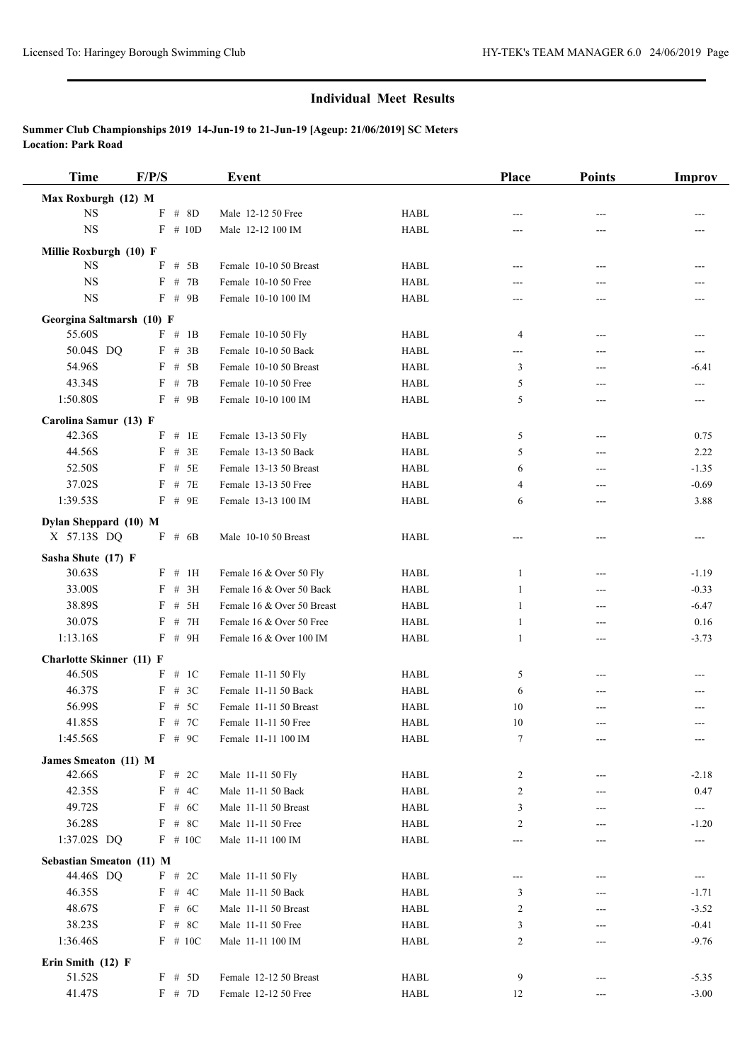| <b>Time</b>                         | F/P/S                  | Event                                       |                            | <b>Place</b>   | <b>Points</b> | Improv                   |
|-------------------------------------|------------------------|---------------------------------------------|----------------------------|----------------|---------------|--------------------------|
| Max Roxburgh (12) M                 |                        |                                             |                            |                |               |                          |
| <b>NS</b>                           | # $8D$<br>$_{\rm F}$   | Male 12-12 50 Free                          | <b>HABL</b>                |                |               |                          |
| <b>NS</b>                           | $F$ # 10D              | Male 12-12 100 IM                           | <b>HABL</b>                | ---            |               |                          |
| Millie Roxburgh (10) F              |                        |                                             |                            |                |               |                          |
| <b>NS</b>                           | $#$ 5B<br>F            | Female 10-10 50 Breast                      | <b>HABL</b>                | ---            | ---           |                          |
| <b>NS</b>                           | F<br># $7B$            | Female 10-10 50 Free                        | <b>HABL</b>                | ---            | ---           |                          |
| <b>NS</b>                           | F # 9B                 | Female 10-10 100 IM                         | <b>HABL</b>                | ---            | ---           |                          |
|                                     |                        |                                             |                            |                |               |                          |
| Georgina Saltmarsh (10) F<br>55.60S | F # 1B                 | Female 10-10 50 Fly                         | <b>HABL</b>                | 4              | ---           | ---                      |
| 50.04S DQ                           | $F$ # 3B               | Female 10-10 50 Back                        | <b>HABL</b>                | ---            | ---           | ---                      |
| 54.96S                              | $F$ # 5B               | Female 10-10 50 Breast                      | <b>HABL</b>                | 3              | ---           | $-6.41$                  |
| 43.34S                              | $F$ # 7B               | Female 10-10 50 Free                        | <b>HABL</b>                | 5              | ---           | ---                      |
| 1:50.80S                            | $F$ # 9B               | Female 10-10 100 IM                         | <b>HABL</b>                | 5              | ---           | ---                      |
|                                     |                        |                                             |                            |                |               |                          |
| Carolina Samur (13) F<br>42.36S     |                        |                                             |                            |                |               |                          |
| 44.56S                              | # 1E<br>F<br>F<br># 3E | Female 13-13 50 Fly<br>Female 13-13 50 Back | <b>HABL</b><br><b>HABL</b> | 5<br>5         | ---           | 0.75<br>2.22             |
| 52.50S                              | $F$ # 5E               | Female 13-13 50 Breast                      | <b>HABL</b>                | 6              | ---<br>---    | $-1.35$                  |
| 37.02S                              | # 7E<br>F              | Female 13-13 50 Free                        | <b>HABL</b>                | 4              |               | $-0.69$                  |
| 1:39.53S                            | $F$ # 9E               | Female 13-13 100 IM                         | <b>HABL</b>                | 6              | ---<br>---    | 3.88                     |
|                                     |                        |                                             |                            |                |               |                          |
| Dylan Sheppard (10) M               |                        |                                             |                            |                |               |                          |
| X 57.13S DQ                         | $F$ # 6B               | Male 10-10 50 Breast                        | <b>HABL</b>                | ---            |               | ---                      |
| Sasha Shute (17) F                  |                        |                                             |                            |                |               |                          |
| 30.63S                              | F # 1H                 | Female 16 & Over 50 Fly                     | <b>HABL</b>                | $\mathbf{1}$   | ---           | $-1.19$                  |
| 33.00S                              | F<br># 3H              | Female 16 & Over 50 Back                    | <b>HABL</b>                | 1              | ---           | $-0.33$                  |
| 38.89S                              | F<br># 5H              | Female 16 & Over 50 Breast                  | <b>HABL</b>                | 1              | ---           | $-6.47$                  |
| 30.07S                              | # 7H<br>F              | Female 16 & Over 50 Free                    | <b>HABL</b>                | 1              | ---           | 0.16                     |
| 1:13.16S                            | F # 9H                 | Female 16 & Over 100 IM                     | <b>HABL</b>                | $\mathbf{1}$   | ---           | $-3.73$                  |
| <b>Charlotte Skinner</b> (11) F     |                        |                                             |                            |                |               |                          |
| 46.50S                              | F # 1C                 | Female 11-11 50 Fly                         | <b>HABL</b>                | 5              | ---           | $---$                    |
| 46.37S                              | # 3C<br>F              | Female 11-11 50 Back                        | <b>HABL</b>                | 6              | ---           |                          |
| 56.99S                              | # $5C$<br>F            | Female 11-11 50 Breast                      | <b>HABL</b>                | 10             | ---           |                          |
| 41.85S                              | $F$ # 7C               | Female 11-11 50 Free                        | <b>HABL</b>                | 10             |               | ---                      |
| 1:45.56S                            | $F$ # 9C               | Female 11-11 100 IM                         | <b>HABL</b>                | 7              | ---           | $---$                    |
| James Smeaton (11) M                |                        |                                             |                            |                |               |                          |
| 42.66S                              | $F$ # 2C               | Male 11-11 50 Fly                           | HABL                       | $\overline{c}$ | ---           | $-2.18$                  |
| 42.35S                              | $F$ # 4C               | Male 11-11 50 Back                          | <b>HABL</b>                | 2              | ---           | 0.47                     |
| 49.72S                              | F<br># $6C$            | Male 11-11 50 Breast                        | <b>HABL</b>                | 3              |               | $\hspace{0.05cm} \ldots$ |
| 36.28S                              | $F$ # 8C               | Male 11-11 50 Free                          | HABL                       | 2              | ---           | $-1.20$                  |
| 1:37.02S DQ                         | $F \# 10C$             | Male 11-11 100 IM                           | HABL                       | ---            | ---           | $\hspace{0.05cm} \ldots$ |
| Sebastian Smeaton (11) M            |                        |                                             |                            |                |               |                          |
| 44.46S DQ                           | F # 2C                 | Male 11-11 50 Fly                           | HABL                       | ---            | ---           | $---$                    |
| 46.35S                              | $F$ # 4C               | Male 11-11 50 Back                          | HABL                       | 3              | ---           | $-1.71$                  |
| 48.67S                              | F # 6C                 | Male 11-11 50 Breast                        | HABL                       | 2              | ---           | $-3.52$                  |
| 38.23S                              | F<br># $8C$            | Male 11-11 50 Free                          | HABL                       | 3              |               | $-0.41$                  |
| 1:36.46S                            | $F \# 10C$             | Male 11-11 100 IM                           | HABL                       | 2              | ---           | $-9.76$                  |
| Erin Smith (12) F                   |                        |                                             |                            |                |               |                          |
| 51.52S                              | F # 5D                 | Female 12-12 50 Breast                      | HABL                       | 9              |               | $-5.35$                  |
| 41.47S                              | F # 7D                 | Female 12-12 50 Free                        | HABL                       | 12             | ---           | $-3.00$                  |
|                                     |                        |                                             |                            |                |               |                          |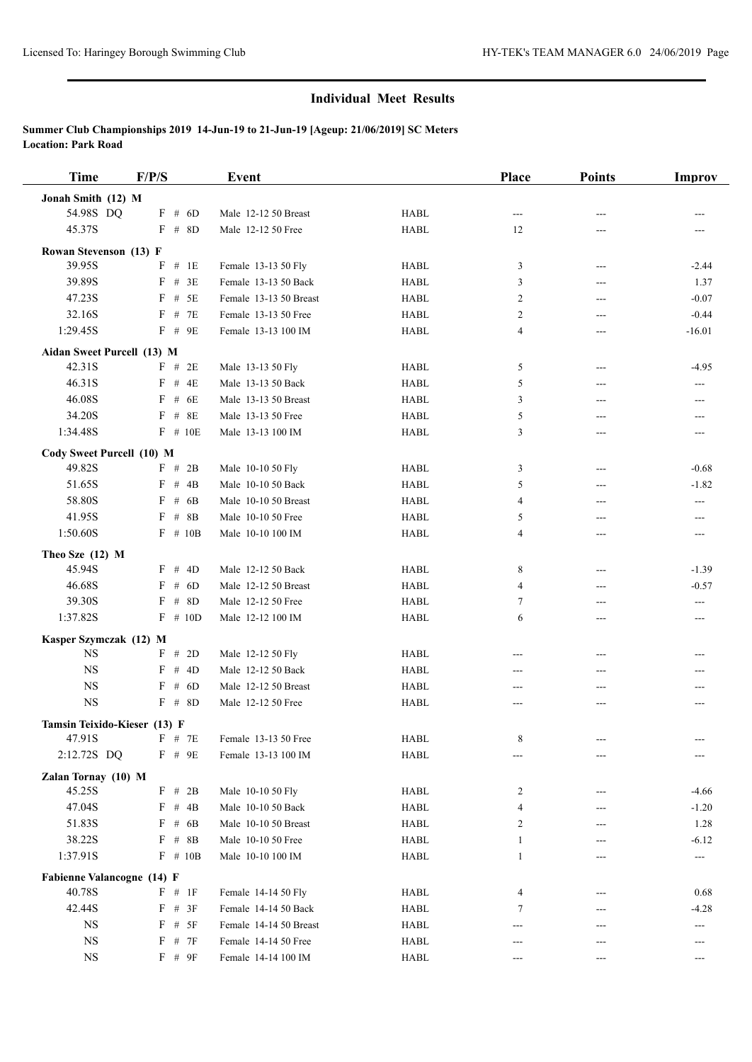| <b>Time</b>                          | F/P/S                      | <b>Event</b>           |             | Place          | <b>Points</b> | Improv   |
|--------------------------------------|----------------------------|------------------------|-------------|----------------|---------------|----------|
| Jonah Smith (12) M                   |                            |                        |             |                |               |          |
| 54.98S DQ                            | F # 6D                     | Male 12-12 50 Breast   | <b>HABL</b> | ---            | ---           |          |
| 45.37S                               | $F$ # 8D                   | Male 12-12 50 Free     | <b>HABL</b> | 12             | ---           |          |
| Rowan Stevenson (13) F               |                            |                        |             |                |               |          |
| 39.95S                               | $F$ # 1E                   | Female 13-13 50 Fly    | <b>HABL</b> | 3              | $---$         | $-2.44$  |
| 39.89S                               | $F$ # 3E                   | Female 13-13 50 Back   | <b>HABL</b> | 3              | ---           | 1.37     |
| 47.23S                               | $\#$<br>F<br>5E            | Female 13-13 50 Breast | <b>HABL</b> | $\overline{c}$ | ---           | $-0.07$  |
| 32.16S                               | $F$ # 7E                   | Female 13-13 50 Free   | <b>HABL</b> | 2              | ---           | $-0.44$  |
| 1:29.45S                             | $F$ # 9E                   | Female 13-13 100 IM    | <b>HABL</b> | $\overline{4}$ | ---           | $-16.01$ |
|                                      |                            |                        |             |                |               |          |
| Aidan Sweet Purcell (13) M<br>42.31S | $F$ # 2E                   | Male 13-13 50 Fly      | <b>HABL</b> | 5              | $---$         | $-4.95$  |
| 46.31S                               | $F$ # 4E                   | Male 13-13 50 Back     | <b>HABL</b> | 5              | ---           | ---      |
| 46.08S                               | $F$ # 6E                   | Male 13-13 50 Breast   | <b>HABL</b> | 3              | ---           | ---      |
| 34.20S                               | F<br>#8E                   | Male 13-13 50 Free     | <b>HABL</b> | 5              | ---           | ---      |
| 1:34.48S                             | $F$ # 10E                  | Male 13-13 100 IM      | <b>HABL</b> | 3              | ---           | ---      |
|                                      |                            |                        |             |                |               |          |
| Cody Sweet Purcell (10) M            |                            |                        |             |                |               |          |
| 49.82S                               | $F$ # 2B                   | Male 10-10 50 Fly      | <b>HABL</b> | 3              | $---$         | $-0.68$  |
| 51.65S                               | # $4B$<br>F                | Male 10-10 50 Back     | <b>HABL</b> | 5              | $---$         | $-1.82$  |
| 58.80S                               | F<br># 6B                  | Male 10-10 50 Breast   | <b>HABL</b> | 4              | ---           | ---      |
| 41.95S                               | $\#$<br>F<br>8B            | Male 10-10 50 Free     | <b>HABL</b> | 5              | ---           | $---$    |
| 1:50.60S                             | $F$ # 10B                  | Male 10-10 100 IM      | <b>HABL</b> | $\overline{4}$ | ---           | $---$    |
| Theo Sze (12) M                      |                            |                        |             |                |               |          |
| 45.94S                               | F # 4D                     | Male 12-12 50 Back     | <b>HABL</b> | 8              | ---           | $-1.39$  |
| 46.68S                               | $F$ # 6D                   | Male 12-12 50 Breast   | <b>HABL</b> | $\overline{4}$ | ---           | $-0.57$  |
| 39.30S                               | $\#$<br>F<br>8D            | Male 12-12 50 Free     | <b>HABL</b> | $\tau$         | ---           | ---      |
| 1:37.82S                             | $F \# 10D$                 | Male 12-12 100 IM      | <b>HABL</b> | 6              | ---           | ---      |
| Kasper Szymczak (12) M               |                            |                        |             |                |               |          |
| <b>NS</b>                            | F # 2D                     | Male 12-12 50 Fly      | <b>HABL</b> | ---            | ---           | ---      |
| <b>NS</b>                            | # $4D$<br>$\boldsymbol{F}$ | Male 12-12 50 Back     | HABL        | ---            | ---           |          |
| $_{\rm NS}$                          | F # 6D                     | Male 12-12 50 Breast   | <b>HABL</b> | ---            | ---           |          |
| $_{\rm NS}$                          | $F$ # 8D                   | Male 12-12 50 Free     | <b>HABL</b> | ---            | ---           | ---      |
| Tamsin Teixido-Kieser (13) F         |                            |                        |             |                |               |          |
| 47.91S                               | $F$ # 7E                   | Female 13-13 50 Free   | HABL        | 8              |               |          |
| 2:12.72S DQ                          | $F$ # 9E                   | Female 13-13 100 IM    | HABL        | ---            | ---           |          |
| Zalan Tornay (10) M                  |                            |                        |             |                |               |          |
| 45.25S                               | F # 2B                     | Male 10-10 50 Fly      | HABL        | 2              | ---           | $-4.66$  |
| 47.04S                               | $F$ # 4B                   | Male 10-10 50 Back     | HABL        | 4              | ---           | $-1.20$  |
| 51.83S                               | F # 6B                     | Male 10-10 50 Breast   | HABL        | 2              |               | 1.28     |
| 38.22S                               | $F$ # 8B                   | Male 10-10 50 Free     | HABL        | 1              | ---           | $-6.12$  |
| 1:37.91S                             | $F \# 10B$                 | Male 10-10 100 IM      | <b>HABL</b> | $\mathbf{1}$   | ---           | ---      |
|                                      |                            |                        |             |                |               |          |
| Fabienne Valancogne (14) F<br>40.78S | F # 1F                     | Female 14-14 50 Fly    | HABL        | 4              | ---           | 0.68     |
| 42.44S                               | F # 3F                     | Female 14-14 50 Back   | HABL        | 7              | ---           | $-4.28$  |
| $_{\rm NS}$                          | F # 5F                     | Female 14-14 50 Breast | HABL        | ---            | ---           | $---$    |
| $_{\rm NS}$                          | $F$ # $7F$                 | Female 14-14 50 Free   | HABL        |                |               |          |
| <b>NS</b>                            | F # 9F                     | Female 14-14 100 IM    | HABL        |                |               | ---      |
|                                      |                            |                        |             |                |               |          |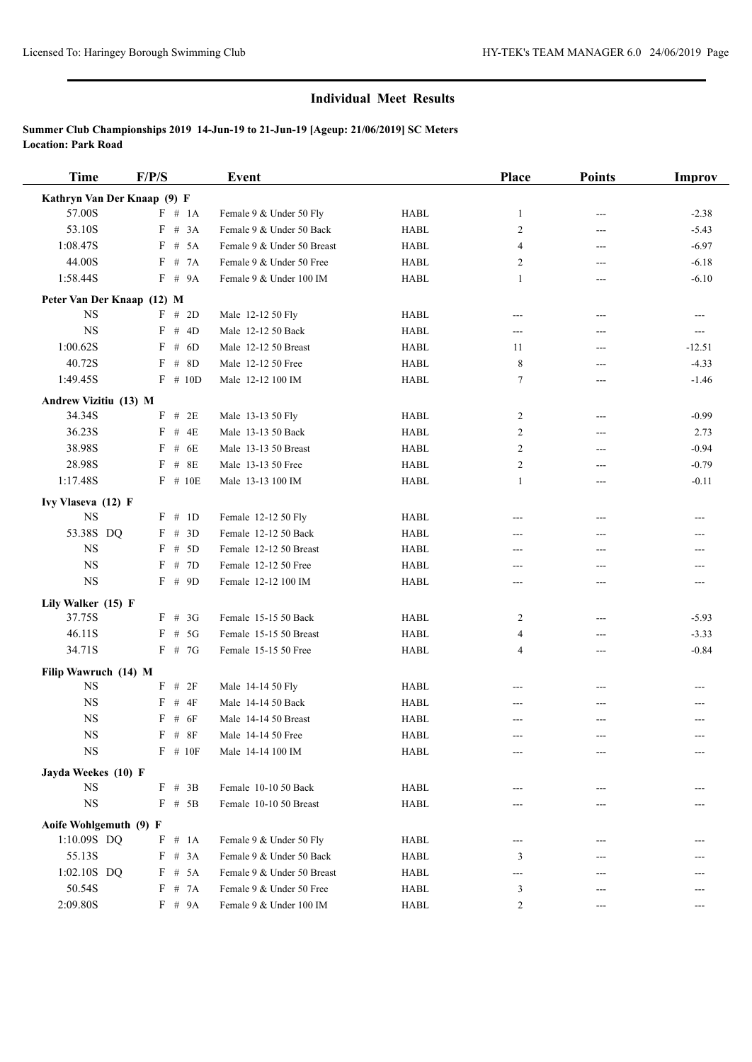| <b>Time</b>                           | F/P/S             | <b>Event</b>                                        |              | Place               | <b>Points</b> | <b>Improv</b> |
|---------------------------------------|-------------------|-----------------------------------------------------|--------------|---------------------|---------------|---------------|
| Kathryn Van Der Knaap (9) F           |                   |                                                     |              |                     |               |               |
| 57.00S                                | F # 1A            | Female 9 & Under 50 Fly                             | <b>HABL</b>  | $\mathbf{1}$        | ---           | $-2.38$       |
| 53.10S                                | F<br># $3A$       | Female 9 & Under 50 Back                            | <b>HABL</b>  | 2                   | ---           | $-5.43$       |
| 1:08.47S                              | # $5A$<br>F       | Female 9 & Under 50 Breast                          | <b>HABL</b>  | $\overline{4}$      | $---$         | $-6.97$       |
| 44.00S                                | F # 7A            | Female 9 & Under 50 Free                            | <b>HABL</b>  | 2                   | ---           | $-6.18$       |
| 1:58.44S                              | $F$ # 9A          | Female 9 & Under 100 IM                             | <b>HABL</b>  | 1                   | $---$         | $-6.10$       |
| Peter Van Der Knaap (12) M            |                   |                                                     |              |                     |               |               |
| <b>NS</b>                             | F # 2D            | Male 12-12 50 Fly                                   | <b>HABL</b>  | ---                 | ---           | $---$         |
| $_{\rm NS}$                           | F # 4D            | Male 12-12 50 Back                                  | <b>HABL</b>  | ---                 | ---           | ---           |
| 1:00.62S                              | F # 6D            | Male 12-12 50 Breast                                | <b>HABL</b>  | 11                  | $---$         | $-12.51$      |
| 40.72S                                | F<br># $8D$       | Male 12-12 50 Free                                  | <b>HABL</b>  | 8                   | ---           | $-4.33$       |
| 1:49.45S                              | $F \# 10D$        | Male 12-12 100 IM                                   | <b>HABL</b>  | 7                   | ---           | $-1.46$       |
| Andrew Vizitiu (13) M                 |                   |                                                     |              |                     |               |               |
| 34.34S                                | $F$ # 2E          | Male 13-13 50 Fly                                   | <b>HABL</b>  | $\overline{c}$      | $---$         | $-0.99$       |
| 36.23S                                | $F$ # 4E          | Male 13-13 50 Back                                  | <b>HABL</b>  | $\overline{c}$      | ---           | 2.73          |
| 38.98S                                | # 6E<br>F         | Male 13-13 50 Breast                                | <b>HABL</b>  | $\overline{c}$      | ---           | $-0.94$       |
| 28.98S                                | $\#$<br>F<br>8E   | Male 13-13 50 Free                                  | <b>HABL</b>  | $\overline{c}$      | ---           | $-0.79$       |
| 1:17.48S                              | $F$ # 10E         | Male 13-13 100 IM                                   | <b>HABL</b>  | 1                   | ---           | $-0.11$       |
| Ivy Vlaseva (12) F                    |                   |                                                     |              |                     |               |               |
| <b>NS</b>                             | F # 1D            | Female 12-12 50 Fly                                 | <b>HABL</b>  | ---                 | ---           | $---$         |
| 53.38S DQ                             | F # 3D            | Female 12-12 50 Back                                | <b>HABL</b>  | ---                 | $---$         | $---$         |
| $_{\rm NS}$                           | $F$ # 5D          | Female 12-12 50 Breast                              | <b>HABL</b>  | ---                 | ---           | ---           |
| $_{\rm NS}$                           | F # 7D            | Female 12-12 50 Free                                | <b>HABL</b>  | ---                 | ---           | ---           |
| <b>NS</b>                             | $F$ # 9D          | Female 12-12 100 IM                                 | <b>HABL</b>  | ---                 | ---           | ---           |
| Lily Walker (15) F                    |                   |                                                     |              |                     |               |               |
| 37.75S                                | $F$ # 3G          | Female 15-15 50 Back                                | <b>HABL</b>  | 2                   | $---$         | $-5.93$       |
| 46.11S                                | $F$ # 5G          | Female 15-15 50 Breast                              | <b>HABL</b>  | 4                   | $---$         | $-3.33$       |
| 34.71S                                | $F$ # 7G          | Female 15-15 50 Free                                | <b>HABL</b>  | 4                   | ---           | $-0.84$       |
|                                       |                   |                                                     |              |                     |               |               |
| Filip Wawruch (14) M<br><b>NS</b>     | $F$ # 2F          | Male 14-14 50 Fly                                   | <b>HABL</b>  | ---                 | ---           | ---           |
| $_{\rm NS}$                           | F # 4F            | Male 14-14 50 Back                                  | <b>HABL</b>  | ---                 |               |               |
| <b>NS</b>                             | F # 6F            | Male 14-14 50 Breast                                | <b>HABL</b>  | ---                 | ---           | $---$         |
| $_{\rm NS}$                           | $\mathrm{F}$ # 8F | Male 14-14 50 Free                                  | <b>HABL</b>  |                     |               |               |
| <b>NS</b>                             | $F \# 10F$        | Male 14-14 100 IM                                   | HABL         | ---                 |               | ---           |
|                                       |                   |                                                     |              |                     |               |               |
| Jayda Weekes (10) F<br><b>NS</b>      | $F \# 3B$         | Female 10-10 50 Back                                | HABL         |                     |               |               |
| $_{\rm NS}$                           | $F$ # 5B          | Female 10-10 50 Breast                              | <b>HABL</b>  |                     |               |               |
|                                       |                   |                                                     |              |                     |               |               |
| Aoife Wohlgemuth (9) F<br>1:10.09S DQ | F # 1A            |                                                     | <b>HABL</b>  |                     |               |               |
| 55.13S                                | F # 3A            | Female 9 & Under 50 Fly<br>Female 9 & Under 50 Back | <b>HABL</b>  | ---                 |               |               |
| 1:02.10S DQ                           | $F$ # 5A          | Female 9 & Under 50 Breast                          | HABL         | 3                   |               |               |
| 50.54S                                | F # 7A            | Female 9 & Under 50 Free                            |              | ---                 | ---           |               |
| 2:09.80S                              | F # 9A            | Female 9 & Under 100 IM                             | HABL<br>HABL | 3<br>$\overline{c}$ | ---           |               |
|                                       |                   |                                                     |              |                     | ---           | $---$         |